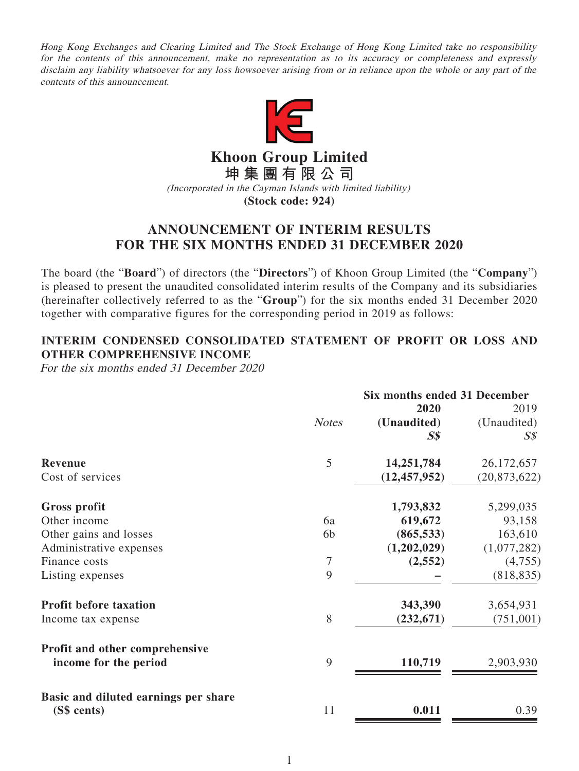Hong Kong Exchanges and Clearing Limited and The Stock Exchange of Hong Kong Limited take no responsibility for the contents of this announcement, make no representation as to its accuracy or completeness and expressly disclaim any liability whatsoever for any loss howsoever arising from or in reliance upon the whole or any part of the contents of this announcement.



**Khoon Group Limited 坤集團有限公司**

(Incorporated in the Cayman Islands with limited liability) **(Stock code: 924)**

## **ANNOUNCEMENT OF INTERIM RESULTS FOR THE SIX MONTHS ENDED 31 DECEMBER 2020**

The board (the "**Board**") of directors (the "**Directors**") of Khoon Group Limited (the "**Company**") is pleased to present the unaudited consolidated interim results of the Company and its subsidiaries (hereinafter collectively referred to as the "**Group**") for the six months ended 31 December 2020 together with comparative figures for the corresponding period in 2019 as follows:

### **INTERIM CONDENSED CONSOLIDATED STATEMENT OF PROFIT OR LOSS AND OTHER COMPREHENSIVE INCOME**

For the six months ended 31 December 2020

|                                                         | Six months ended 31 December |                |                |
|---------------------------------------------------------|------------------------------|----------------|----------------|
|                                                         |                              | 2020           | 2019           |
|                                                         | <b>Notes</b>                 | (Unaudited)    | (Unaudited)    |
|                                                         |                              | $S\$           | $S\mathcal{S}$ |
| <b>Revenue</b>                                          | 5                            | 14,251,784     | 26, 172, 657   |
| Cost of services                                        |                              | (12, 457, 952) | (20, 873, 622) |
| <b>Gross profit</b>                                     |                              | 1,793,832      | 5,299,035      |
| Other income                                            | 6a                           | 619,672        | 93,158         |
| Other gains and losses                                  | 6 <sub>b</sub>               | (865, 533)     | 163,610        |
| Administrative expenses                                 |                              | (1,202,029)    | (1,077,282)    |
| Finance costs                                           | 7                            | (2, 552)       | (4,755)        |
| Listing expenses                                        | 9                            |                | (818, 835)     |
| <b>Profit before taxation</b>                           |                              | 343,390        | 3,654,931      |
| Income tax expense                                      | 8                            | (232, 671)     | (751,001)      |
| Profit and other comprehensive<br>income for the period | 9                            | 110,719        | 2,903,930      |
| Basic and diluted earnings per share<br>(S\$ cents)     | 11                           | 0.011          | 0.39           |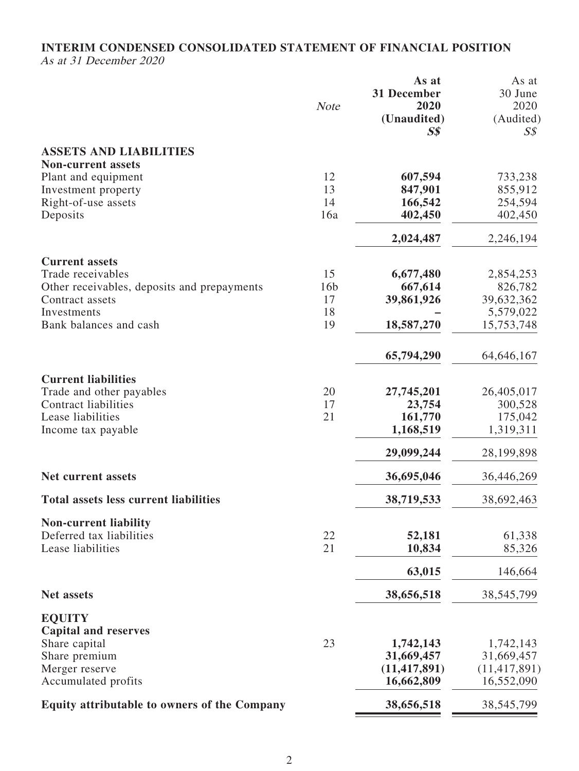### **INTERIM CONDENSED CONSOLIDATED STATEMENT OF FINANCIAL POSITION** As at 31 December 2020

|                                                     | <b>Note</b>     | As at<br>31 December<br>2020<br>(Unaudited)<br>$S\$ | As at<br>30 June<br>2020<br>(Audited)<br>S <sub>s</sub> |
|-----------------------------------------------------|-----------------|-----------------------------------------------------|---------------------------------------------------------|
| <b>ASSETS AND LIABILITIES</b>                       |                 |                                                     |                                                         |
| <b>Non-current assets</b>                           |                 |                                                     |                                                         |
| Plant and equipment<br>Investment property          | 12<br>13        | 607,594<br>847,901                                  | 733,238<br>855,912                                      |
| Right-of-use assets                                 | 14              | 166,542                                             | 254,594                                                 |
| Deposits                                            | 16a             | 402,450                                             | 402,450                                                 |
|                                                     |                 | 2,024,487                                           | 2,246,194                                               |
| <b>Current assets</b>                               |                 |                                                     |                                                         |
| Trade receivables                                   | 15              | 6,677,480                                           | 2,854,253                                               |
| Other receivables, deposits and prepayments         | 16 <sub>b</sub> | 667,614                                             | 826,782                                                 |
| Contract assets                                     | 17              | 39,861,926                                          | 39,632,362                                              |
| Investments                                         | 18              |                                                     | 5,579,022                                               |
| Bank balances and cash                              | 19              | 18,587,270                                          | 15,753,748                                              |
|                                                     |                 | 65,794,290                                          | 64, 646, 167                                            |
| <b>Current liabilities</b>                          |                 |                                                     |                                                         |
| Trade and other payables                            | 20              | 27,745,201                                          | 26,405,017                                              |
| <b>Contract liabilities</b>                         | 17              | 23,754                                              | 300,528                                                 |
| Lease liabilities                                   | 21              | 161,770                                             | 175,042<br>1,319,311                                    |
| Income tax payable                                  |                 | 1,168,519                                           |                                                         |
|                                                     |                 | 29,099,244                                          | 28,199,898                                              |
| <b>Net current assets</b>                           |                 | 36,695,046                                          | 36,446,269                                              |
| <b>Total assets less current liabilities</b>        |                 | 38,719,533                                          | 38,692,463                                              |
| <b>Non-current liability</b>                        |                 |                                                     |                                                         |
| Deferred tax liabilities                            | 22              | 52,181                                              | 61,338                                                  |
| Lease liabilities                                   | 21              | 10,834                                              | 85,326                                                  |
|                                                     |                 | 63,015                                              | 146,664                                                 |
| <b>Net assets</b>                                   |                 | 38,656,518                                          | 38, 545, 799                                            |
| <b>EQUITY</b>                                       |                 |                                                     |                                                         |
| <b>Capital and reserves</b>                         |                 |                                                     |                                                         |
| Share capital                                       | 23              | 1,742,143                                           | 1,742,143                                               |
| Share premium                                       |                 | 31,669,457                                          | 31,669,457                                              |
| Merger reserve<br>Accumulated profits               |                 | (11, 417, 891)<br>16,662,809                        | (11, 417, 891)<br>16,552,090                            |
| <b>Equity attributable to owners of the Company</b> |                 | 38,656,518                                          | 38,545,799                                              |
|                                                     |                 |                                                     |                                                         |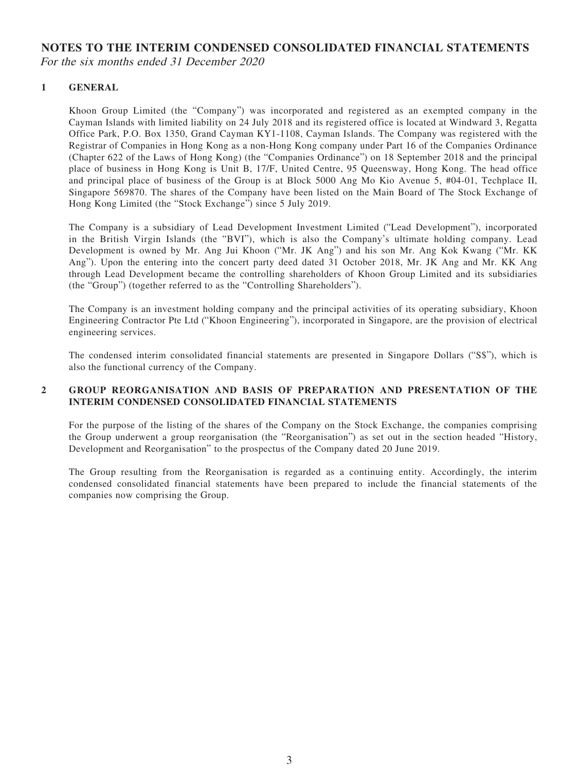# **NOTES TO THE INTERIM CONDENSED CONSOLIDATED FINANCIAL STATEMENTS**

For the six months ended 31 December 2020

#### **1 GENERAL**

Khoon Group Limited (the "Company") was incorporated and registered as an exempted company in the Cayman Islands with limited liability on 24 July 2018 and its registered office is located at Windward 3, Regatta Office Park, P.O. Box 1350, Grand Cayman KY1-1108, Cayman Islands. The Company was registered with the Registrar of Companies in Hong Kong as a non-Hong Kong company under Part 16 of the Companies Ordinance (Chapter 622 of the Laws of Hong Kong) (the "Companies Ordinance") on 18 September 2018 and the principal place of business in Hong Kong is Unit B, 17/F, United Centre, 95 Queensway, Hong Kong. The head office and principal place of business of the Group is at Block 5000 Ang Mo Kio Avenue 5, #04-01, Techplace II, Singapore 569870. The shares of the Company have been listed on the Main Board of The Stock Exchange of Hong Kong Limited (the "Stock Exchange") since 5 July 2019.

The Company is a subsidiary of Lead Development Investment Limited ("Lead Development"), incorporated in the British Virgin Islands (the "BVI"), which is also the Company's ultimate holding company. Lead Development is owned by Mr. Ang Jui Khoon ("Mr. JK Ang") and his son Mr. Ang Kok Kwang ("Mr. KK Ang"). Upon the entering into the concert party deed dated 31 October 2018, Mr. JK Ang and Mr. KK Ang through Lead Development became the controlling shareholders of Khoon Group Limited and its subsidiaries (the "Group") (together referred to as the "Controlling Shareholders").

The Company is an investment holding company and the principal activities of its operating subsidiary, Khoon Engineering Contractor Pte Ltd ("Khoon Engineering"), incorporated in Singapore, are the provision of electrical engineering services.

The condensed interim consolidated financial statements are presented in Singapore Dollars ("S\$"), which is also the functional currency of the Company.

#### **2 GROUP REORGANISATION AND BASIS OF PREPARATION AND PRESENTATION OF THE INTERIM CONDENSED CONSOLIDATED FINANCIAL STATEMENTS**

For the purpose of the listing of the shares of the Company on the Stock Exchange, the companies comprising the Group underwent a group reorganisation (the "Reorganisation") as set out in the section headed "History, Development and Reorganisation" to the prospectus of the Company dated 20 June 2019.

The Group resulting from the Reorganisation is regarded as a continuing entity. Accordingly, the interim condensed consolidated financial statements have been prepared to include the financial statements of the companies now comprising the Group.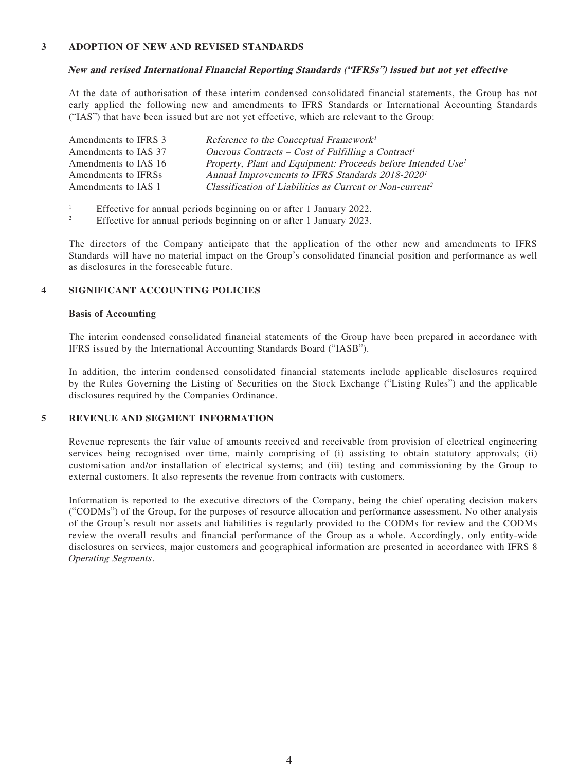#### **3 ADOPTION OF NEW AND REVISED STANDARDS**

#### **New and revised International Financial Reporting Standards ("IFRSs") issued but not yet effective**

At the date of authorisation of these interim condensed consolidated financial statements, the Group has not early applied the following new and amendments to IFRS Standards or International Accounting Standards ("IAS") that have been issued but are not yet effective, which are relevant to the Group:

| Amendments to IFRS 3 | Reference to the Conceptual Framework <sup>1</sup>                       |
|----------------------|--------------------------------------------------------------------------|
| Amendments to IAS 37 | Onerous Contracts – Cost of Fulfilling a Contract <sup>1</sup>           |
| Amendments to IAS 16 | Property, Plant and Equipment: Proceeds before Intended Use <sup>1</sup> |
| Amendments to IFRSs  | Annual Improvements to IFRS Standards 2018-2020 <sup>1</sup>             |
| Amendments to IAS 1  | Classification of Liabilities as Current or Non-current <sup>2</sup>     |

- 1 Effective for annual periods beginning on or after 1 January 2022.
- 2 Effective for annual periods beginning on or after 1 January 2023.

The directors of the Company anticipate that the application of the other new and amendments to IFRS Standards will have no material impact on the Group's consolidated financial position and performance as well as disclosures in the foreseeable future.

#### **4 SIGNIFICANT ACCOUNTING POLICIES**

#### **Basis of Accounting**

The interim condensed consolidated financial statements of the Group have been prepared in accordance with IFRS issued by the International Accounting Standards Board ("IASB").

In addition, the interim condensed consolidated financial statements include applicable disclosures required by the Rules Governing the Listing of Securities on the Stock Exchange ("Listing Rules") and the applicable disclosures required by the Companies Ordinance.

#### **5 REVENUE AND SEGMENT INFORMATION**

Revenue represents the fair value of amounts received and receivable from provision of electrical engineering services being recognised over time, mainly comprising of (i) assisting to obtain statutory approvals; (ii) customisation and/or installation of electrical systems; and (iii) testing and commissioning by the Group to external customers. It also represents the revenue from contracts with customers.

Information is reported to the executive directors of the Company, being the chief operating decision makers ("CODMs") of the Group, for the purposes of resource allocation and performance assessment. No other analysis of the Group's result nor assets and liabilities is regularly provided to the CODMs for review and the CODMs review the overall results and financial performance of the Group as a whole. Accordingly, only entity-wide disclosures on services, major customers and geographical information are presented in accordance with IFRS 8 Operating Segments.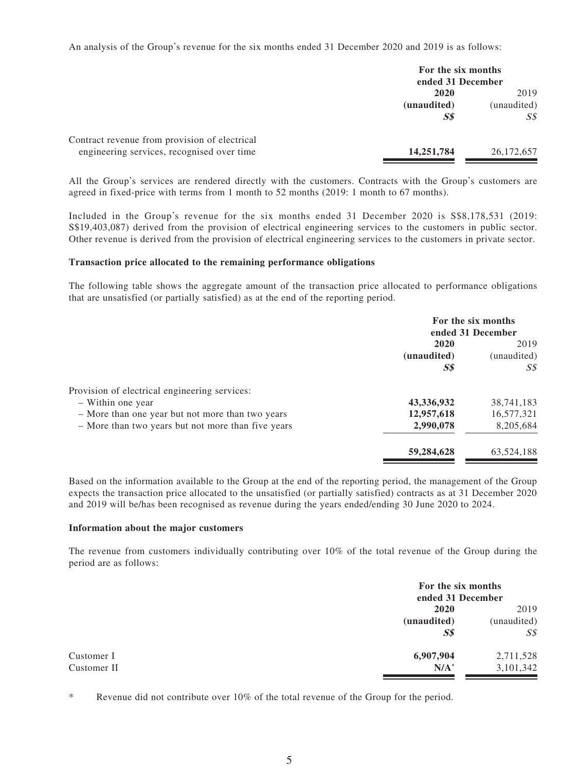An analysis of the Group's revenue for the six months ended 31 December 2020 and 2019 is as follows:

|                                               | For the six months<br>ended 31 December |              |
|-----------------------------------------------|-----------------------------------------|--------------|
|                                               | 2020                                    | 2019         |
|                                               | (unaudited)                             | (unaudited)  |
|                                               | $S\$                                    | SS           |
| Contract revenue from provision of electrical |                                         |              |
| engineering services, recognised over time    | 14,251,784                              | 26, 172, 657 |

All the Group's services are rendered directly with the customers. Contracts with the Group's customers are agreed in fixed-price with terms from 1 month to 52 months (2019: 1 month to 67 months).

Included in the Group's revenue for the six months ended 31 December 2020 is S\$8,178,531 (2019: S\$19,403,087) derived from the provision of electrical engineering services to the customers in public sector. Other revenue is derived from the provision of electrical engineering services to the customers in private sector.

#### **Transaction price allocated to the remaining performance obligations**

The following table shows the aggregate amount of the transaction price allocated to performance obligations that are unsatisfied (or partially satisfied) as at the end of the reporting period.

|                                                    | For the six months<br>ended 31 December |                           |
|----------------------------------------------------|-----------------------------------------|---------------------------|
|                                                    | 2020<br>(unaudited)<br>S <sub>s</sub>   | 2019<br>(unaudited)<br>SS |
| Provision of electrical engineering services:      |                                         |                           |
| - Within one year                                  | 43,336,932                              | 38,741,183                |
| - More than one year but not more than two years   | 12,957,618                              | 16,577,321                |
| - More than two years but not more than five years | 2,990,078                               | 8,205,684                 |
|                                                    | 59,284,628                              | 63,524,188                |

Based on the information available to the Group at the end of the reporting period, the management of the Group expects the transaction price allocated to the unsatisfied (or partially satisfied) contracts as at 31 December 2020 and 2019 will be/has been recognised as revenue during the years ended/ending 30 June 2020 to 2024.

#### **Information about the major customers**

The revenue from customers individually contributing over 10% of the total revenue of the Group during the period are as follows:

| For the six months<br>ended 31 December |                                                               |
|-----------------------------------------|---------------------------------------------------------------|
|                                         | 2019                                                          |
|                                         | (unaudited)                                                   |
|                                         | $S\mathcal{S}$                                                |
|                                         | 2,711,528                                                     |
|                                         | 3,101,342                                                     |
|                                         | 2020<br>(unaudited)<br>S <sub>s</sub><br>6,907,904<br>$N/A^*$ |

Revenue did not contribute over  $10\%$  of the total revenue of the Group for the period.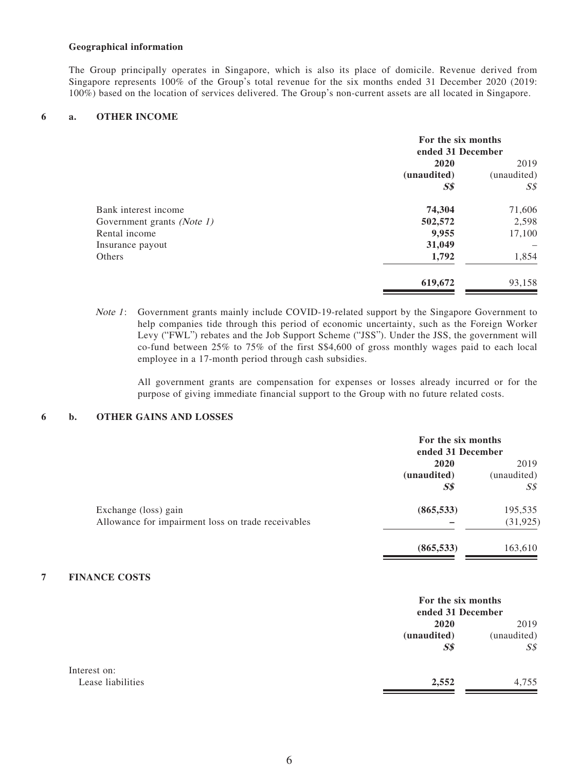#### **Geographical information**

The Group principally operates in Singapore, which is also its place of domicile. Revenue derived from Singapore represents 100% of the Group's total revenue for the six months ended 31 December 2020 (2019: 100%) based on the location of services delivered. The Group's non-current assets are all located in Singapore.

#### **6 a. OTHER INCOME**

|                            | For the six months<br>ended 31 December |                     |
|----------------------------|-----------------------------------------|---------------------|
|                            | 2020                                    | 2019<br>(unaudited) |
|                            | (unaudited)                             |                     |
|                            | <b>S\$</b>                              | S <sub>s</sub>      |
| Bank interest income       | 74,304                                  | 71,606              |
| Government grants (Note 1) | 502,572                                 | 2,598               |
| Rental income              | 9,955                                   | 17,100              |
| Insurance payout           | 31,049                                  |                     |
| Others                     | 1,792                                   | 1,854               |
|                            | 619,672                                 | 93,158              |

Note 1: Government grants mainly include COVID-19-related support by the Singapore Government to help companies tide through this period of economic uncertainty, such as the Foreign Worker Levy ("FWL") rebates and the Job Support Scheme ("JSS"). Under the JSS, the government will co-fund between 25% to 75% of the first S\$4,600 of gross monthly wages paid to each local employee in a 17-month period through cash subsidies.

All government grants are compensation for expenses or losses already incurred or for the purpose of giving immediate financial support to the Group with no future related costs.

#### **6 b. OTHER GAINS AND LOSSES**

|                                                    | For the six months<br>ended 31 December |             |
|----------------------------------------------------|-----------------------------------------|-------------|
|                                                    | 2020                                    | 2019        |
|                                                    | (unaudited)                             | (unaudited) |
|                                                    | $S\$                                    | SS          |
| Exchange (loss) gain                               | (865, 533)                              | 195,535     |
| Allowance for impairment loss on trade receivables |                                         | (31, 925)   |
|                                                    | (865, 533)                              | 163,610     |

#### **7 FINANCE COSTS**

|                   | For the six months<br>ended 31 December |                |
|-------------------|-----------------------------------------|----------------|
|                   | 2020                                    | 2019           |
|                   | (unaudited)                             | (unaudited)    |
|                   | S <sub>s</sub>                          | $S\mathcal{S}$ |
| Interest on:      |                                         |                |
| Lease liabilities | 2,552                                   | 4,755          |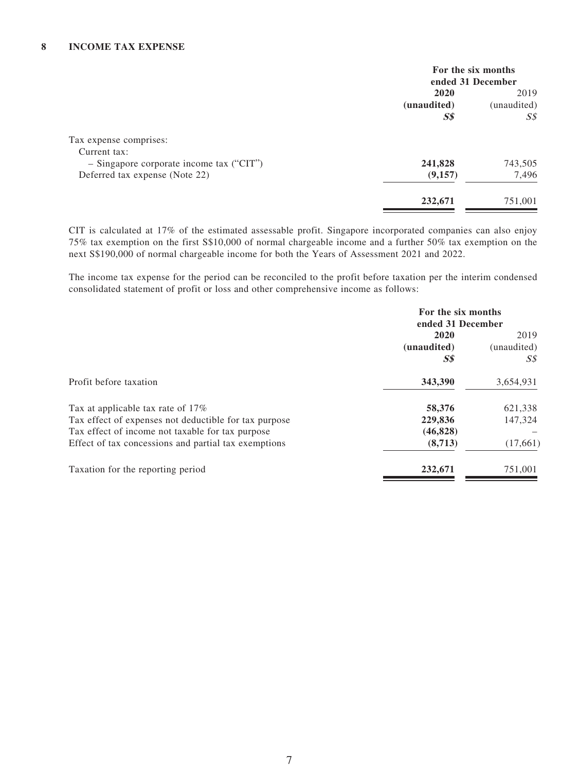|                                            | For the six months  |                     |
|--------------------------------------------|---------------------|---------------------|
|                                            | ended 31 December   |                     |
|                                            | 2020<br>(unaudited) | 2019<br>(unaudited) |
|                                            |                     |                     |
|                                            | S <sub>s</sub>      | S <sub>s</sub>      |
| Tax expense comprises:                     |                     |                     |
| Current tax:                               |                     |                     |
| $-$ Singapore corporate income tax ("CIT") | 241,828             | 743,505             |
| Deferred tax expense (Note 22)             | (9,157)             | 7,496               |
|                                            | 232,671             | 751,001             |
|                                            |                     |                     |

CIT is calculated at 17% of the estimated assessable profit. Singapore incorporated companies can also enjoy 75% tax exemption on the first S\$10,000 of normal chargeable income and a further 50% tax exemption on the next S\$190,000 of normal chargeable income for both the Years of Assessment 2021 and 2022.

The income tax expense for the period can be reconciled to the profit before taxation per the interim condensed consolidated statement of profit or loss and other comprehensive income as follows:

|                                                       | For the six months             |             |
|-------------------------------------------------------|--------------------------------|-------------|
|                                                       | ended 31 December              |             |
|                                                       | 2020                           | 2019        |
|                                                       | (unaudited)                    | (unaudited) |
|                                                       | $\boldsymbol{S}\boldsymbol{S}$ | S\$         |
| Profit before taxation                                | 343,390                        | 3,654,931   |
| Tax at applicable tax rate of 17%                     | 58,376                         | 621,338     |
| Tax effect of expenses not deductible for tax purpose | 229,836                        | 147,324     |
| Tax effect of income not taxable for tax purpose      | (46,828)                       |             |
| Effect of tax concessions and partial tax exemptions  | (8,713)                        | (17,661)    |
| Taxation for the reporting period                     | 232,671                        | 751,001     |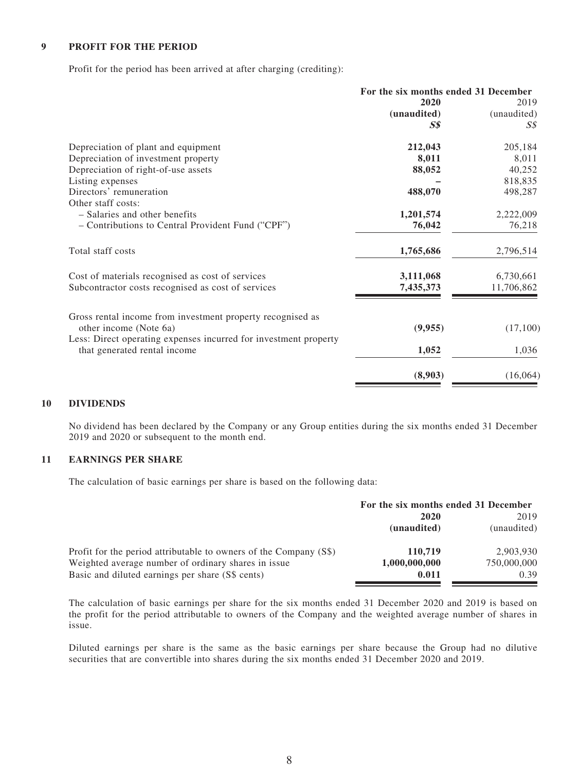#### **9 PROFIT FOR THE PERIOD**

Profit for the period has been arrived at after charging (crediting):

|                                                                                                  | For the six months ended 31 December |             |
|--------------------------------------------------------------------------------------------------|--------------------------------------|-------------|
|                                                                                                  | 2020                                 | 2019        |
|                                                                                                  | (unaudited)                          | (unaudited) |
|                                                                                                  | S\$                                  | S\$         |
| Depreciation of plant and equipment                                                              | 212,043                              | 205,184     |
| Depreciation of investment property                                                              | 8,011                                | 8,011       |
| Depreciation of right-of-use assets                                                              | 88,052                               | 40,252      |
| Listing expenses                                                                                 |                                      | 818,835     |
| Directors' remuneration                                                                          | 488,070                              | 498,287     |
| Other staff costs:                                                                               |                                      |             |
| - Salaries and other benefits                                                                    | 1,201,574                            | 2,222,009   |
| - Contributions to Central Provident Fund ("CPF")                                                | 76,042                               | 76,218      |
| Total staff costs                                                                                | 1,765,686                            | 2,796,514   |
| Cost of materials recognised as cost of services                                                 | 3,111,068                            | 6,730,661   |
| Subcontractor costs recognised as cost of services                                               | 7,435,373                            | 11,706,862  |
| Gross rental income from investment property recognised as                                       |                                      |             |
| other income (Note 6a)                                                                           | (9,955)                              | (17,100)    |
| Less: Direct operating expenses incurred for investment property<br>that generated rental income | 1,052                                | 1,036       |
|                                                                                                  |                                      |             |
|                                                                                                  | (8,903)                              | (16,064)    |

#### **10 DIVIDENDS**

No dividend has been declared by the Company or any Group entities during the six months ended 31 December 2019 and 2020 or subsequent to the month end.

#### **11 EARNINGS PER SHARE**

The calculation of basic earnings per share is based on the following data:

|                                                                   | For the six months ended 31 December |             |
|-------------------------------------------------------------------|--------------------------------------|-------------|
|                                                                   | 2020                                 |             |
|                                                                   | (unaudited)                          | (unaudited) |
| Profit for the period attributable to owners of the Company (S\$) | 110,719                              | 2,903,930   |
| Weighted average number of ordinary shares in issue               | 1,000,000,000                        | 750,000,000 |
| Basic and diluted earnings per share (S\$ cents)                  | 0.011                                | 0.39        |

The calculation of basic earnings per share for the six months ended 31 December 2020 and 2019 is based on the profit for the period attributable to owners of the Company and the weighted average number of shares in issue.

Diluted earnings per share is the same as the basic earnings per share because the Group had no dilutive securities that are convertible into shares during the six months ended 31 December 2020 and 2019.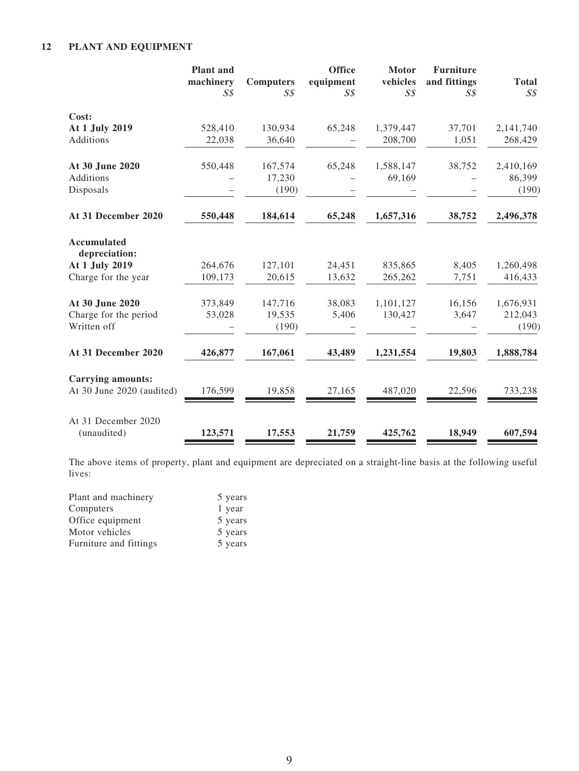### **12 PLANT AND EQUIPMENT**

|                                    | <b>Plant</b> and<br>machinery<br>S <sub>S</sub> | <b>Computers</b><br>$S\mathcal{S}$ | <b>Office</b><br>equipment<br>S <sub>s</sub> | <b>Motor</b><br>vehicles<br>$S\mathcal{S}$ | <b>Furniture</b><br>and fittings<br>$S\mathcal{S}$ | <b>Total</b><br>$S\mathcal{S}$ |
|------------------------------------|-------------------------------------------------|------------------------------------|----------------------------------------------|--------------------------------------------|----------------------------------------------------|--------------------------------|
| Cost:                              |                                                 |                                    |                                              |                                            |                                                    |                                |
| At 1 July 2019                     | 528,410                                         | 130,934                            | 65,248                                       | 1,379,447                                  | 37,701                                             | 2,141,740                      |
| Additions                          | 22,038                                          | 36,640                             |                                              | 208,700                                    | 1,051                                              | 268,429                        |
| At 30 June 2020                    | 550,448                                         | 167,574                            | 65,248                                       | 1,588,147                                  | 38,752                                             | 2,410,169                      |
| Additions                          |                                                 | 17,230                             |                                              | 69,169                                     |                                                    | 86,399                         |
| Disposals                          |                                                 | (190)                              |                                              |                                            |                                                    | (190)                          |
| At 31 December 2020                | 550,448                                         | 184,614                            | 65,248                                       | 1,657,316                                  | 38,752                                             | 2,496,378                      |
| Accumulated<br>depreciation:       |                                                 |                                    |                                              |                                            |                                                    |                                |
| At 1 July 2019                     | 264,676                                         | 127,101                            | 24,451                                       | 835,865                                    | 8,405                                              | 1,260,498                      |
| Charge for the year                | 109,173                                         | 20,615                             | 13,632                                       | 265,262                                    | 7,751                                              | 416,433                        |
| At 30 June 2020                    | 373,849                                         | 147,716                            | 38,083                                       | 1,101,127                                  | 16,156                                             | 1,676,931                      |
| Charge for the period              | 53,028                                          | 19,535                             | 5,406                                        | 130,427                                    | 3,647                                              | 212,043                        |
| Written off                        |                                                 | (190)                              |                                              |                                            |                                                    | (190)                          |
| At 31 December 2020                | 426,877                                         | 167,061                            | 43,489                                       | 1,231,554                                  | 19,803                                             | 1,888,784                      |
| <b>Carrying amounts:</b>           |                                                 |                                    |                                              |                                            |                                                    |                                |
| At 30 June 2020 (audited)          | 176,599                                         | 19,858                             | 27,165                                       | 487,020                                    | 22,596                                             | 733,238                        |
| At 31 December 2020<br>(unaudited) | 123,571                                         | 17,553                             | 21,759                                       | 425,762                                    | 18,949                                             | 607,594                        |

The above items of property, plant and equipment are depreciated on a straight-line basis at the following useful lives:

| Plant and machinery    | 5 years |
|------------------------|---------|
| Computers              | 1 year  |
| Office equipment       | 5 years |
| Motor vehicles         | 5 years |
| Furniture and fittings | 5 years |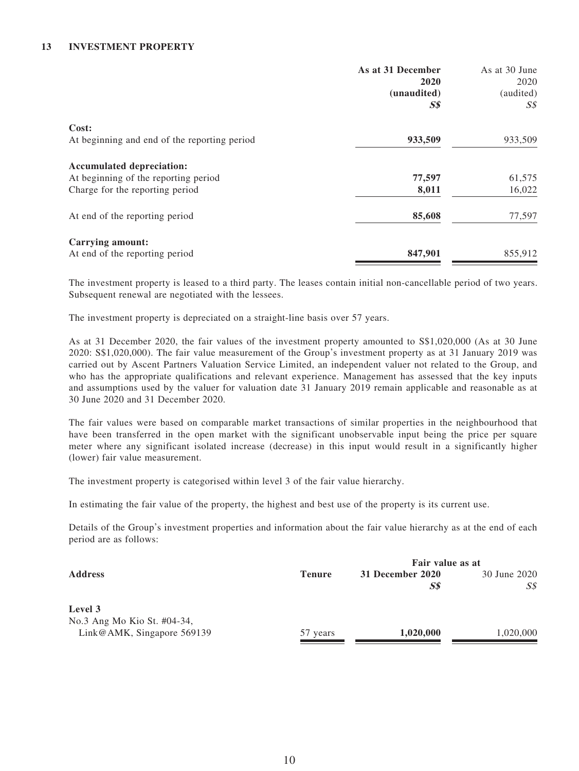#### **13 INVESTMENT PROPERTY**

|                                              | As at 31 December<br>2020                     | As at 30 June<br>2020       |
|----------------------------------------------|-----------------------------------------------|-----------------------------|
|                                              | (unaudited)<br>$\boldsymbol{S}\boldsymbol{S}$ | (audited)<br>$S\mathcal{S}$ |
| Cost:                                        |                                               |                             |
| At beginning and end of the reporting period | 933,509                                       | 933,509                     |
| <b>Accumulated depreciation:</b>             |                                               |                             |
| At beginning of the reporting period         | 77,597                                        | 61,575                      |
| Charge for the reporting period              | 8,011                                         | 16,022                      |
| At end of the reporting period               | 85,608                                        | 77,597                      |
| <b>Carrying amount:</b>                      |                                               |                             |
| At end of the reporting period               | 847,901                                       | 855,912                     |

The investment property is leased to a third party. The leases contain initial non-cancellable period of two years. Subsequent renewal are negotiated with the lessees.

The investment property is depreciated on a straight-line basis over 57 years.

As at 31 December 2020, the fair values of the investment property amounted to S\$1,020,000 (As at 30 June 2020: S\$1,020,000). The fair value measurement of the Group's investment property as at 31 January 2019 was carried out by Ascent Partners Valuation Service Limited, an independent valuer not related to the Group, and who has the appropriate qualifications and relevant experience. Management has assessed that the key inputs and assumptions used by the valuer for valuation date 31 January 2019 remain applicable and reasonable as at 30 June 2020 and 31 December 2020.

The fair values were based on comparable market transactions of similar properties in the neighbourhood that have been transferred in the open market with the significant unobservable input being the price per square meter where any significant isolated increase (decrease) in this input would result in a significantly higher (lower) fair value measurement.

The investment property is categorised within level 3 of the fair value hierarchy.

In estimating the fair value of the property, the highest and best use of the property is its current use.

Details of the Group's investment properties and information about the fair value hierarchy as at the end of each period are as follows:

|                                                           |               | Fair value as at        |                     |
|-----------------------------------------------------------|---------------|-------------------------|---------------------|
| <b>Address</b>                                            | <b>Tenure</b> | 31 December 2020<br>S\$ | 30 June 2020<br>S\$ |
| Level 3                                                   |               |                         |                     |
| No.3 Ang Mo Kio St. #04-34,<br>Link@AMK, Singapore 569139 | 57 years      | 1,020,000               | 1,020,000           |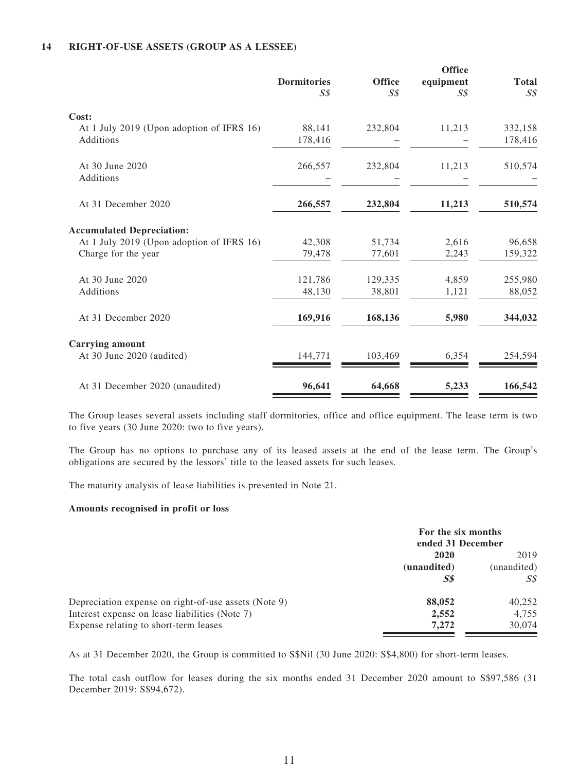#### **14 RIGHT-OF-USE ASSETS (GROUP AS A LESSEE)**

|                                                        | <b>Dormitories</b><br>SS | <b>Office</b><br>S <sub>S</sub> | <b>Office</b><br>equipment<br>SS | <b>Total</b><br>S <sub>s</sub> |
|--------------------------------------------------------|--------------------------|---------------------------------|----------------------------------|--------------------------------|
| Cost:                                                  |                          |                                 |                                  |                                |
| At 1 July 2019 (Upon adoption of IFRS 16)<br>Additions | 88,141<br>178,416        | 232,804                         | 11,213                           | 332,158<br>178,416             |
| At 30 June 2020<br>Additions                           | 266,557                  | 232,804                         | 11,213                           | 510,574                        |
| At 31 December 2020                                    | 266,557                  | 232,804                         | 11,213                           | 510,574                        |
| <b>Accumulated Depreciation:</b>                       |                          |                                 |                                  |                                |
| At 1 July 2019 (Upon adoption of IFRS 16)              | 42,308                   | 51,734                          | 2,616                            | 96,658                         |
| Charge for the year                                    | 79,478                   | 77,601                          | 2,243                            | 159,322                        |
| At 30 June 2020                                        | 121,786                  | 129,335                         | 4,859                            | 255,980                        |
| Additions                                              | 48,130                   | 38,801                          | 1,121                            | 88,052                         |
| At 31 December 2020                                    | 169,916                  | 168,136                         | 5,980                            | 344,032                        |
| <b>Carrying amount</b>                                 |                          |                                 |                                  |                                |
| At 30 June 2020 (audited)                              | 144,771                  | 103,469                         | 6,354                            | 254,594                        |
| At 31 December 2020 (unaudited)                        | 96,641                   | 64,668                          | 5,233                            | 166,542                        |

The Group leases several assets including staff dormitories, office and office equipment. The lease term is two to five years (30 June 2020: two to five years).

The Group has no options to purchase any of its leased assets at the end of the lease term. The Group's obligations are secured by the lessors' title to the leased assets for such leases.

The maturity analysis of lease liabilities is presented in Note 21.

#### **Amounts recognised in profit or loss**

|                                                      | For the six months<br>ended 31 December |             |
|------------------------------------------------------|-----------------------------------------|-------------|
|                                                      | 2020                                    |             |
|                                                      | (unaudited)                             | (unaudited) |
|                                                      | $\boldsymbol{S}\boldsymbol{S}$          | S\$         |
| Depreciation expense on right-of-use assets (Note 9) | 88,052                                  | 40,252      |
| Interest expense on lease liabilities (Note 7)       | 2,552                                   | 4.755       |
| Expense relating to short-term leases                | 7.272                                   | 30,074      |

As at 31 December 2020, the Group is committed to S\$Nil (30 June 2020: S\$4,800) for short-term leases.

The total cash outflow for leases during the six months ended 31 December 2020 amount to S\$97,586 (31 December 2019: S\$94,672).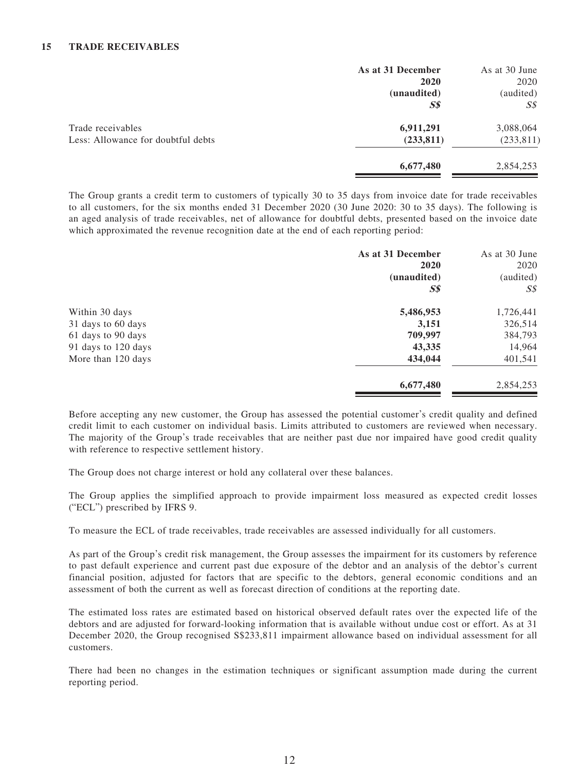|                                    | As at 31 December | As at 30 June  |
|------------------------------------|-------------------|----------------|
|                                    | 2020              | 2020           |
|                                    | (unaudited)       | (audited)      |
|                                    | S <sub>s</sub>    | $S\mathcal{S}$ |
| Trade receivables                  | 6,911,291         | 3,088,064      |
| Less: Allowance for doubtful debts | (233, 811)        | (233, 811)     |
|                                    | 6,677,480         | 2,854,253      |

The Group grants a credit term to customers of typically 30 to 35 days from invoice date for trade receivables to all customers, for the six months ended 31 December 2020 (30 June 2020: 30 to 35 days). The following is an aged analysis of trade receivables, net of allowance for doubtful debts, presented based on the invoice date which approximated the revenue recognition date at the end of each reporting period:

| As at 31 December<br>2020<br>(unaudited) | As at 30 June<br>2020<br>(audited) |
|------------------------------------------|------------------------------------|
|                                          | $S\mathcal{S}$                     |
| 5,486,953                                | 1,726,441                          |
| 3,151                                    | 326,514                            |
| 709,997                                  | 384,793                            |
| 43,335                                   | 14,964                             |
| 434,044                                  | 401,541                            |
| 6,677,480                                | 2,854,253                          |
|                                          | S <sub>s</sub>                     |

Before accepting any new customer, the Group has assessed the potential customer's credit quality and defined credit limit to each customer on individual basis. Limits attributed to customers are reviewed when necessary. The majority of the Group's trade receivables that are neither past due nor impaired have good credit quality with reference to respective settlement history.

The Group does not charge interest or hold any collateral over these balances.

The Group applies the simplified approach to provide impairment loss measured as expected credit losses ("ECL") prescribed by IFRS 9.

To measure the ECL of trade receivables, trade receivables are assessed individually for all customers.

As part of the Group's credit risk management, the Group assesses the impairment for its customers by reference to past default experience and current past due exposure of the debtor and an analysis of the debtor's current financial position, adjusted for factors that are specific to the debtors, general economic conditions and an assessment of both the current as well as forecast direction of conditions at the reporting date.

The estimated loss rates are estimated based on historical observed default rates over the expected life of the debtors and are adjusted for forward-looking information that is available without undue cost or effort. As at 31 December 2020, the Group recognised S\$233,811 impairment allowance based on individual assessment for all customers.

There had been no changes in the estimation techniques or significant assumption made during the current reporting period.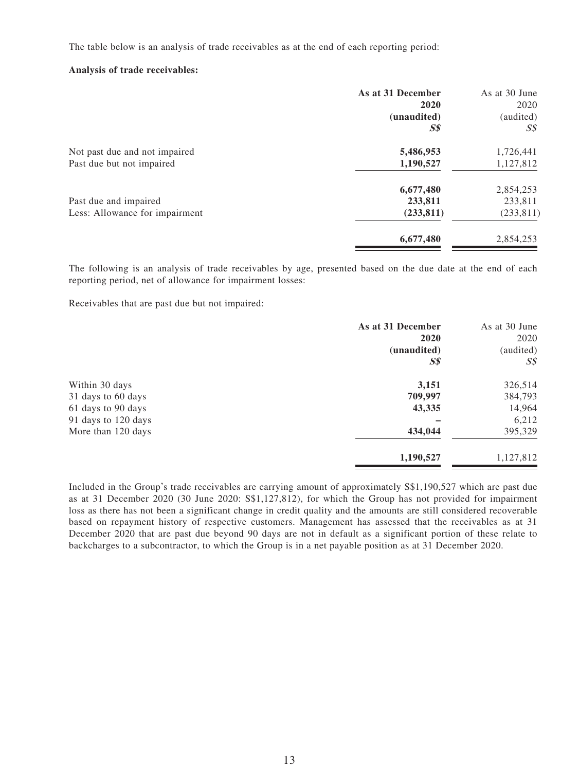The table below is an analysis of trade receivables as at the end of each reporting period:

#### **Analysis of trade receivables:**

| As at 31 December | As at 30 June  |
|-------------------|----------------|
| 2020              | 2020           |
| (unaudited)       | (audited)      |
| <b>S\$</b>        | $S\mathcal{S}$ |
| 5,486,953         | 1,726,441      |
| 1,190,527         | 1,127,812      |
| 6,677,480         | 2,854,253      |
| 233,811           | 233,811        |
| (233, 811)        | (233, 811)     |
| 6,677,480         | 2,854,253      |
|                   |                |

The following is an analysis of trade receivables by age, presented based on the due date at the end of each reporting period, net of allowance for impairment losses:

Receivables that are past due but not impaired:

|                     | As at 31 December | As at 30 June  |
|---------------------|-------------------|----------------|
|                     | 2020              | 2020           |
|                     | (unaudited)       | (audited)      |
|                     | S <sub>s</sub>    | S <sub>s</sub> |
| Within 30 days      | 3,151             | 326,514        |
| 31 days to 60 days  | 709,997           | 384,793        |
| 61 days to 90 days  | 43,335            | 14,964         |
| 91 days to 120 days |                   | 6,212          |
| More than 120 days  | 434,044           | 395,329        |
|                     | 1,190,527         | 1,127,812      |
|                     |                   |                |

Included in the Group's trade receivables are carrying amount of approximately S\$1,190,527 which are past due as at 31 December 2020 (30 June 2020: S\$1,127,812), for which the Group has not provided for impairment loss as there has not been a significant change in credit quality and the amounts are still considered recoverable based on repayment history of respective customers. Management has assessed that the receivables as at 31 December 2020 that are past due beyond 90 days are not in default as a significant portion of these relate to backcharges to a subcontractor, to which the Group is in a net payable position as at 31 December 2020.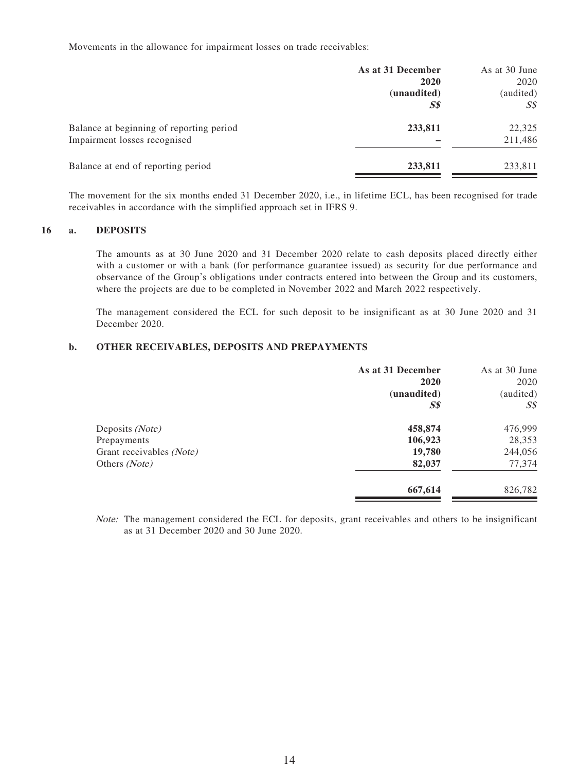Movements in the allowance for impairment losses on trade receivables:

|                                          | As at 31 December              | As at 30 June     |
|------------------------------------------|--------------------------------|-------------------|
|                                          | 2020<br>(unaudited)            | 2020<br>(audited) |
|                                          | $\boldsymbol{S}\boldsymbol{S}$ | S\$               |
| Balance at beginning of reporting period | 233,811                        | 22,325            |
| Impairment losses recognised             |                                | 211,486           |
| Balance at end of reporting period       | 233,811                        | 233,811           |

The movement for the six months ended 31 December 2020, i.e., in lifetime ECL, has been recognised for trade receivables in accordance with the simplified approach set in IFRS 9.

#### **16 a. DEPOSITS**

The amounts as at 30 June 2020 and 31 December 2020 relate to cash deposits placed directly either with a customer or with a bank (for performance guarantee issued) as security for due performance and observance of the Group's obligations under contracts entered into between the Group and its customers, where the projects are due to be completed in November 2022 and March 2022 respectively.

The management considered the ECL for such deposit to be insignificant as at 30 June 2020 and 31 December 2020.

#### **b. OTHER RECEIVABLES, DEPOSITS AND PREPAYMENTS**

|                          | As at 31 December | As at 30 June  |
|--------------------------|-------------------|----------------|
|                          | 2020              | 2020           |
|                          | (unaudited)       | (audited)      |
|                          | $S\$$             | $S\mathcal{S}$ |
| Deposits (Note)          | 458,874           | 476,999        |
| Prepayments              | 106,923           | 28,353         |
| Grant receivables (Note) | 19,780            | 244,056        |
| Others (Note)            | 82,037            | 77,374         |
|                          | 667,614           | 826,782        |

Note: The management considered the ECL for deposits, grant receivables and others to be insignificant as at 31 December 2020 and 30 June 2020.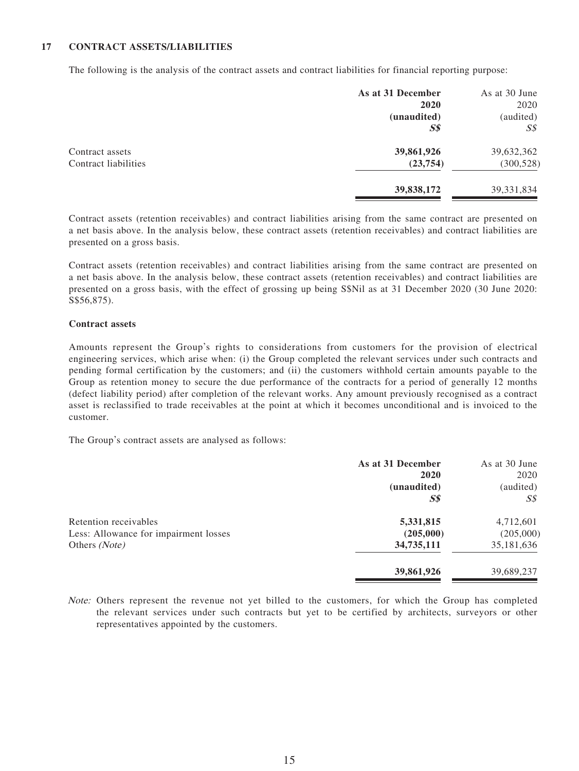#### **17 CONTRACT ASSETS/LIABILITIES**

The following is the analysis of the contract assets and contract liabilities for financial reporting purpose:

|                      | As at 31 December | As at 30 June  |
|----------------------|-------------------|----------------|
|                      | 2020              | 2020           |
|                      | (unaudited)       | (audited)      |
|                      | $S\$$             | $S\mathcal{S}$ |
| Contract assets      | 39,861,926        | 39,632,362     |
| Contract liabilities | (23, 754)         | (300, 528)     |
|                      | 39,838,172        | 39, 331, 834   |

Contract assets (retention receivables) and contract liabilities arising from the same contract are presented on a net basis above. In the analysis below, these contract assets (retention receivables) and contract liabilities are presented on a gross basis.

Contract assets (retention receivables) and contract liabilities arising from the same contract are presented on a net basis above. In the analysis below, these contract assets (retention receivables) and contract liabilities are presented on a gross basis, with the effect of grossing up being S\$Nil as at 31 December 2020 (30 June 2020: S\$56,875).

#### **Contract assets**

Amounts represent the Group's rights to considerations from customers for the provision of electrical engineering services, which arise when: (i) the Group completed the relevant services under such contracts and pending formal certification by the customers; and (ii) the customers withhold certain amounts payable to the Group as retention money to secure the due performance of the contracts for a period of generally 12 months (defect liability period) after completion of the relevant works. Any amount previously recognised as a contract asset is reclassified to trade receivables at the point at which it becomes unconditional and is invoiced to the customer.

The Group's contract assets are analysed as follows:

|                                       | As at 31 December | As at 30 June |
|---------------------------------------|-------------------|---------------|
|                                       | 2020              | 2020          |
|                                       | (unaudited)       | (audited)     |
|                                       | <b>S\$</b>        | SS            |
| Retention receivables                 | 5,331,815         | 4,712,601     |
| Less: Allowance for impairment losses | (205,000)         | (205,000)     |
| Others (Note)                         | 34,735,111        | 35,181,636    |
|                                       | 39,861,926        | 39,689,237    |
|                                       |                   |               |

Note: Others represent the revenue not yet billed to the customers, for which the Group has completed the relevant services under such contracts but yet to be certified by architects, surveyors or other representatives appointed by the customers.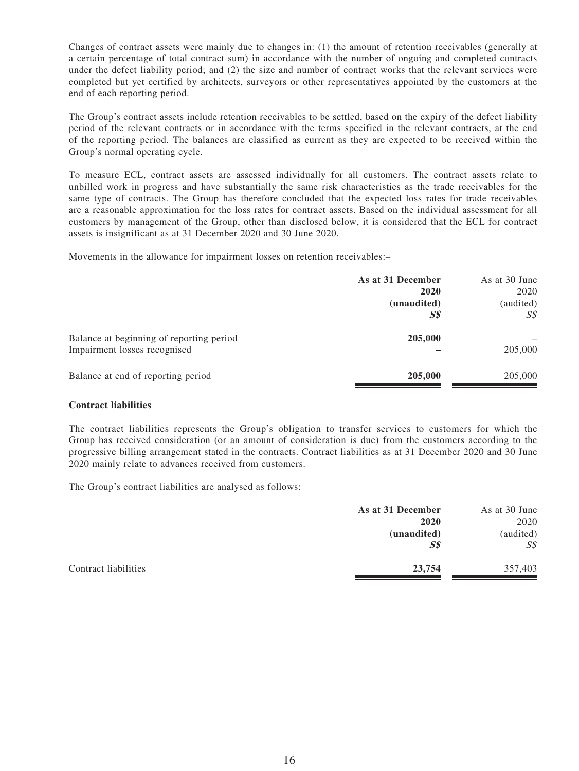Changes of contract assets were mainly due to changes in: (1) the amount of retention receivables (generally at a certain percentage of total contract sum) in accordance with the number of ongoing and completed contracts under the defect liability period; and (2) the size and number of contract works that the relevant services were completed but yet certified by architects, surveyors or other representatives appointed by the customers at the end of each reporting period.

The Group's contract assets include retention receivables to be settled, based on the expiry of the defect liability period of the relevant contracts or in accordance with the terms specified in the relevant contracts, at the end of the reporting period. The balances are classified as current as they are expected to be received within the Group's normal operating cycle.

To measure ECL, contract assets are assessed individually for all customers. The contract assets relate to unbilled work in progress and have substantially the same risk characteristics as the trade receivables for the same type of contracts. The Group has therefore concluded that the expected loss rates for trade receivables are a reasonable approximation for the loss rates for contract assets. Based on the individual assessment for all customers by management of the Group, other than disclosed below, it is considered that the ECL for contract assets is insignificant as at 31 December 2020 and 30 June 2020.

Movements in the allowance for impairment losses on retention receivables:–

|                                          | As at 31 December | As at 30 June |
|------------------------------------------|-------------------|---------------|
|                                          | 2020              | 2020          |
|                                          | (unaudited)       | (audited)     |
|                                          | $S\$$             | S\$           |
| Balance at beginning of reporting period | 205,000           |               |
| Impairment losses recognised             |                   | 205,000       |
| Balance at end of reporting period       | 205,000           | 205,000       |
|                                          |                   |               |

#### **Contract liabilities**

The contract liabilities represents the Group's obligation to transfer services to customers for which the Group has received consideration (or an amount of consideration is due) from the customers according to the progressive billing arrangement stated in the contracts. Contract liabilities as at 31 December 2020 and 30 June 2020 mainly relate to advances received from customers.

The Group's contract liabilities are analysed as follows:

| As at 31 December | As at 30 June  |
|-------------------|----------------|
| 2020              | 2020           |
| (unaudited)       | (audited)      |
| S <sub>s</sub>    | $S\mathcal{S}$ |
| 23,754            | 357,403        |
|                   |                |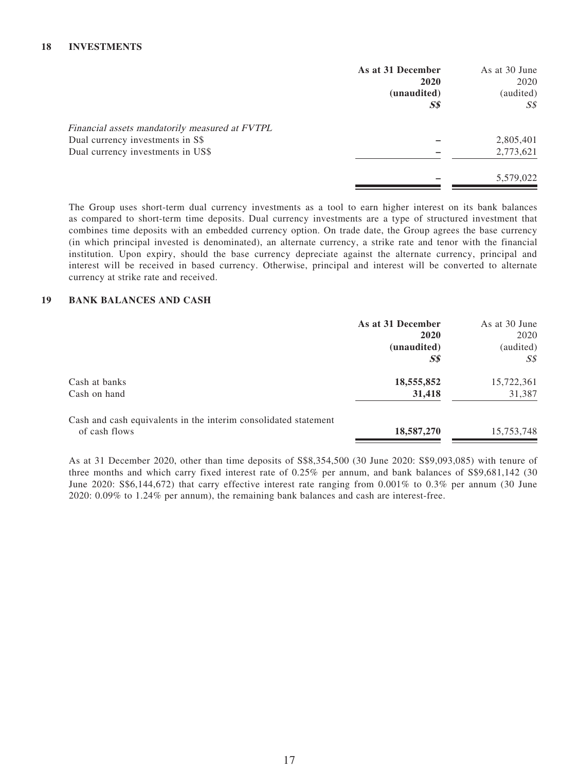|                                                | As at 31 December                        | As at 30 June |
|------------------------------------------------|------------------------------------------|---------------|
|                                                | 2020                                     | 2020          |
|                                                | (unaudited)                              | (audited)     |
|                                                | $\boldsymbol{S}\boldsymbol{\mathcal{S}}$ | SS            |
| Financial assets mandatorily measured at FVTPL |                                          |               |
| Dual currency investments in S\$               |                                          | 2,805,401     |
| Dual currency investments in US\$              |                                          | 2,773,621     |
|                                                |                                          | 5,579,022     |

The Group uses short-term dual currency investments as a tool to earn higher interest on its bank balances as compared to short-term time deposits. Dual currency investments are a type of structured investment that combines time deposits with an embedded currency option. On trade date, the Group agrees the base currency (in which principal invested is denominated), an alternate currency, a strike rate and tenor with the financial institution. Upon expiry, should the base currency depreciate against the alternate currency, principal and interest will be received in based currency. Otherwise, principal and interest will be converted to alternate currency at strike rate and received.

#### **19 BANK BALANCES AND CASH**

|                                                                 | As at 31 December              | As at 30 June |
|-----------------------------------------------------------------|--------------------------------|---------------|
|                                                                 | 2020                           | 2020          |
|                                                                 | (unaudited)                    | (audited)     |
|                                                                 | $\boldsymbol{S}\boldsymbol{S}$ | SS            |
| Cash at banks                                                   | 18,555,852                     | 15,722,361    |
| Cash on hand                                                    | 31,418                         | 31,387        |
| Cash and cash equivalents in the interim consolidated statement |                                |               |
| of cash flows                                                   | 18,587,270                     | 15,753,748    |

As at 31 December 2020, other than time deposits of S\$8,354,500 (30 June 2020: S\$9,093,085) with tenure of three months and which carry fixed interest rate of 0.25% per annum, and bank balances of S\$9,681,142 (30 June 2020: S\$6,144,672) that carry effective interest rate ranging from 0.001% to 0.3% per annum (30 June 2020: 0.09% to 1.24% per annum), the remaining bank balances and cash are interest-free.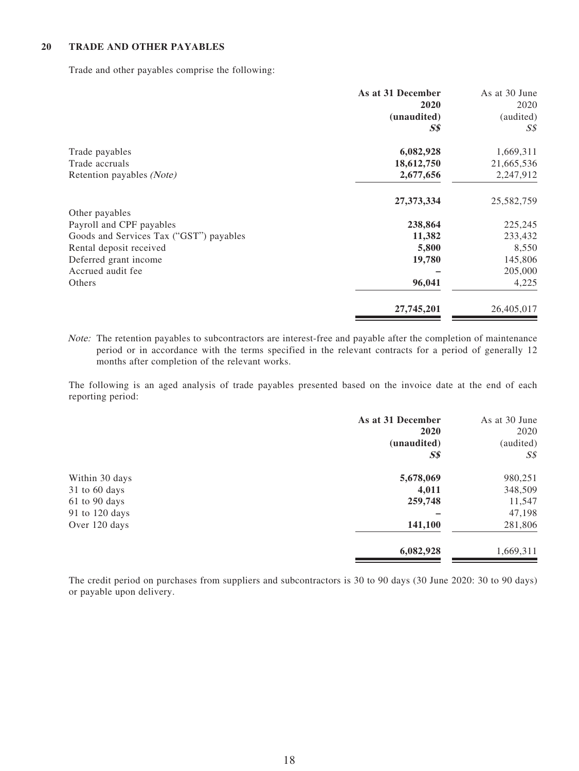#### **20 TRADE AND OTHER PAYABLES**

Trade and other payables comprise the following:

|                                         | As at 31 December              | As at 30 June |
|-----------------------------------------|--------------------------------|---------------|
|                                         | 2020                           | 2020          |
|                                         | (unaudited)                    | (audited)     |
|                                         | $\boldsymbol{S}\boldsymbol{S}$ | SS            |
| Trade payables                          | 6,082,928                      | 1,669,311     |
| Trade accruals                          | 18,612,750                     | 21,665,536    |
| Retention payables (Note)               | 2,677,656                      | 2,247,912     |
|                                         | 27,373,334                     | 25,582,759    |
| Other payables                          |                                |               |
| Payroll and CPF payables                | 238,864                        | 225,245       |
| Goods and Services Tax ("GST") payables | 11,382                         | 233,432       |
| Rental deposit received                 | 5,800                          | 8,550         |
| Deferred grant income                   | 19,780                         | 145,806       |
| Accrued audit fee                       |                                | 205,000       |
| Others                                  | 96,041                         | 4,225         |
|                                         | 27,745,201                     | 26,405,017    |

Note: The retention payables to subcontractors are interest-free and payable after the completion of maintenance period or in accordance with the terms specified in the relevant contracts for a period of generally 12 months after completion of the relevant works.

The following is an aged analysis of trade payables presented based on the invoice date at the end of each reporting period:

|                | As at 31 December | As at 30 June  |
|----------------|-------------------|----------------|
|                | 2020              | 2020           |
|                | (unaudited)       | (audited)      |
|                | S <sub>s</sub>    | S <sub>s</sub> |
| Within 30 days | 5,678,069         | 980,251        |
| 31 to 60 days  | 4,011             | 348,509        |
| 61 to 90 days  | 259,748           | 11,547         |
| 91 to 120 days |                   | 47,198         |
| Over 120 days  | 141,100           | 281,806        |
|                | 6,082,928         | 1,669,311      |

The credit period on purchases from suppliers and subcontractors is 30 to 90 days (30 June 2020: 30 to 90 days) or payable upon delivery.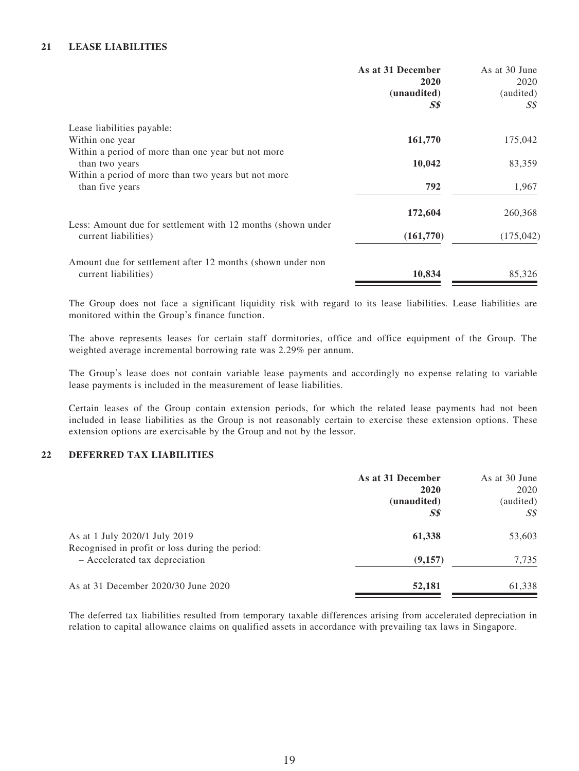#### **21 LEASE LIABILITIES**

|                                                                      | As at 31 December<br>2020 | As at 30 June<br>2020 |
|----------------------------------------------------------------------|---------------------------|-----------------------|
|                                                                      | (unaudited)               | (audited)             |
|                                                                      | <b>S\$</b>                | S\$                   |
| Lease liabilities payable:                                           |                           |                       |
| Within one year                                                      | 161,770                   | 175,042               |
| Within a period of more than one year but not more<br>than two years | 10,042                    | 83,359                |
| Within a period of more than two years but not more                  |                           |                       |
| than five years                                                      | 792                       | 1,967                 |
|                                                                      | 172,604                   | 260,368               |
| Less: Amount due for settlement with 12 months (shown under          |                           |                       |
| current liabilities)                                                 | (161,770)                 | (175, 042)            |
| Amount due for settlement after 12 months (shown under non           |                           |                       |
| current liabilities)                                                 | 10,834                    | 85,326                |

The Group does not face a significant liquidity risk with regard to its lease liabilities. Lease liabilities are monitored within the Group's finance function.

The above represents leases for certain staff dormitories, office and office equipment of the Group. The weighted average incremental borrowing rate was 2.29% per annum.

The Group's lease does not contain variable lease payments and accordingly no expense relating to variable lease payments is included in the measurement of lease liabilities.

Certain leases of the Group contain extension periods, for which the related lease payments had not been included in lease liabilities as the Group is not reasonably certain to exercise these extension options. These extension options are exercisable by the Group and not by the lessor.

#### **22 DEFERRED TAX LIABILITIES**

|                                                                                                                    | As at 31 December<br>2020                     | As at 30 June<br>2020 |
|--------------------------------------------------------------------------------------------------------------------|-----------------------------------------------|-----------------------|
|                                                                                                                    | (unaudited)<br>$\boldsymbol{S}\boldsymbol{S}$ | (audited)<br>S\$      |
| As at 1 July 2020/1 July 2019<br>Recognised in profit or loss during the period:<br>- Accelerated tax depreciation | 61,338                                        | 53,603                |
|                                                                                                                    | (9,157)                                       | 7,735                 |
| As at 31 December 2020/30 June 2020                                                                                | 52,181                                        | 61,338                |

The deferred tax liabilities resulted from temporary taxable differences arising from accelerated depreciation in relation to capital allowance claims on qualified assets in accordance with prevailing tax laws in Singapore.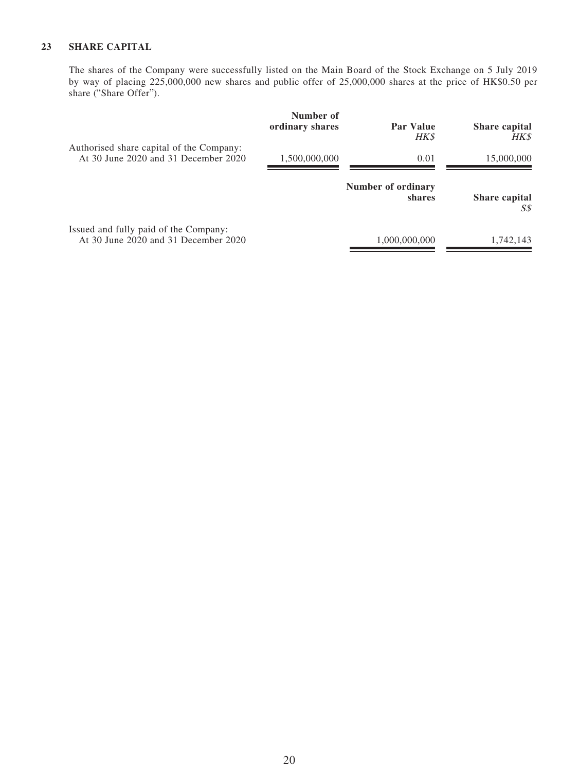### **23 SHARE CAPITAL**

The shares of the Company were successfully listed on the Main Board of the Stock Exchange on 5 July 2019 by way of placing 225,000,000 new shares and public offer of 25,000,000 shares at the price of HK\$0.50 per share ("Share Offer").

|                                                                                  | Number of<br>ordinary shares | Par Value<br>HK\$            | <b>Share capital</b><br>HK\$ |
|----------------------------------------------------------------------------------|------------------------------|------------------------------|------------------------------|
| Authorised share capital of the Company:<br>At 30 June 2020 and 31 December 2020 | 1,500,000,000                | 0.01                         | 15,000,000                   |
|                                                                                  |                              | Number of ordinary<br>shares | <b>Share capital</b><br>S\$  |
| Issued and fully paid of the Company:<br>At 30 June 2020 and 31 December 2020    |                              | 1,000,000,000                | 1,742,143                    |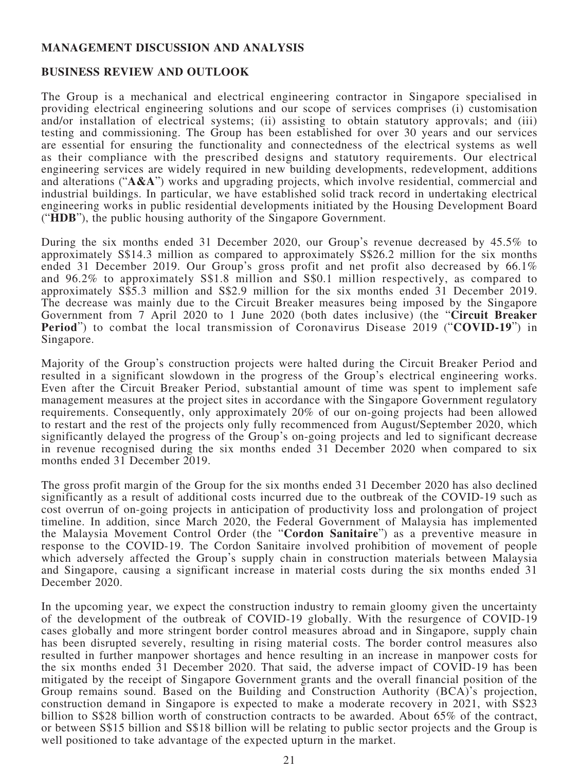### **MANAGEMENT DISCUSSION AND ANALYSIS**

### **BUSINESS REVIEW AND OUTLOOK**

The Group is a mechanical and electrical engineering contractor in Singapore specialised in providing electrical engineering solutions and our scope of services comprises (i) customisation and/or installation of electrical systems; (ii) assisting to obtain statutory approvals; and (iii) testing and commissioning. The Group has been established for over 30 years and our services are essential for ensuring the functionality and connectedness of the electrical systems as well as their compliance with the prescribed designs and statutory requirements. Our electrical engineering services are widely required in new building developments, redevelopment, additions and alterations ("**A&A**") works and upgrading projects, which involve residential, commercial and industrial buildings. In particular, we have established solid track record in undertaking electrical engineering works in public residential developments initiated by the Housing Development Board ("**HDB**"), the public housing authority of the Singapore Government.

During the six months ended 31 December 2020, our Group's revenue decreased by 45.5% to approximately S\$14.3 million as compared to approximately S\$26.2 million for the six months ended 31 December 2019. Our Group's gross profit and net profit also decreased by 66.1% and 96.2% to approximately S\$1.8 million and S\$0.1 million respectively, as compared to approximately S\$5.3 million and S\$2.9 million for the six months ended 31 December 2019. The decrease was mainly due to the Circuit Breaker measures being imposed by the Singapore Government from 7 April 2020 to 1 June 2020 (both dates inclusive) (the "**Circuit Breaker Period**") to combat the local transmission of Coronavirus Disease 2019 ("**COVID-19**") in Singapore.

Majority of the Group's construction projects were halted during the Circuit Breaker Period and resulted in a significant slowdown in the progress of the Group's electrical engineering works. Even after the Circuit Breaker Period, substantial amount of time was spent to implement safe management measures at the project sites in accordance with the Singapore Government regulatory requirements. Consequently, only approximately 20% of our on-going projects had been allowed to restart and the rest of the projects only fully recommenced from August/September 2020, which significantly delayed the progress of the Group's on-going projects and led to significant decrease in revenue recognised during the six months ended 31 December 2020 when compared to six months ended 31 December 2019.

The gross profit margin of the Group for the six months ended 31 December 2020 has also declined significantly as a result of additional costs incurred due to the outbreak of the COVID-19 such as cost overrun of on-going projects in anticipation of productivity loss and prolongation of project timeline. In addition, since March 2020, the Federal Government of Malaysia has implemented the Malaysia Movement Control Order (the "**Cordon Sanitaire**") as a preventive measure in response to the COVID-19. The Cordon Sanitaire involved prohibition of movement of people which adversely affected the Group's supply chain in construction materials between Malaysia and Singapore, causing a significant increase in material costs during the six months ended 31 December 2020.

In the upcoming year, we expect the construction industry to remain gloomy given the uncertainty of the development of the outbreak of COVID-19 globally. With the resurgence of COVID-19 cases globally and more stringent border control measures abroad and in Singapore, supply chain has been disrupted severely, resulting in rising material costs. The border control measures also resulted in further manpower shortages and hence resulting in an increase in manpower costs for the six months ended 31 December 2020. That said, the adverse impact of COVID-19 has been mitigated by the receipt of Singapore Government grants and the overall financial position of the Group remains sound. Based on the Building and Construction Authority (BCA)'s projection, construction demand in Singapore is expected to make a moderate recovery in 2021, with S\$23 billion to S\$28 billion worth of construction contracts to be awarded. About 65% of the contract, or between S\$15 billion and S\$18 billion will be relating to public sector projects and the Group is well positioned to take advantage of the expected upturn in the market.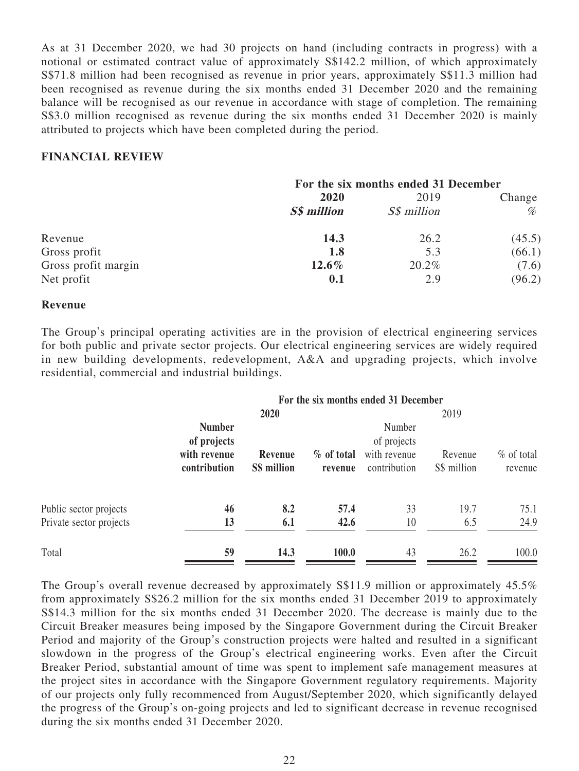As at 31 December 2020, we had 30 projects on hand (including contracts in progress) with a notional or estimated contract value of approximately S\$142.2 million, of which approximately S\$71.8 million had been recognised as revenue in prior years, approximately S\$11.3 million had been recognised as revenue during the six months ended 31 December 2020 and the remaining balance will be recognised as our revenue in accordance with stage of completion. The remaining S\$3.0 million recognised as revenue during the six months ended 31 December 2020 is mainly attributed to projects which have been completed during the period.

### **FINANCIAL REVIEW**

| For the six months ended 31 December |             |        |  |
|--------------------------------------|-------------|--------|--|
| 2020                                 | 2019        | Change |  |
| <b>S\$</b> million                   | S\$ million | %      |  |
| 14.3                                 | 26.2        | (45.5) |  |
| 1.8                                  | 5.3         | (66.1) |  |
| $12.6\%$                             | 20.2%       | (7.6)  |  |
| 0.1                                  | 2.9         | (96.2) |  |
|                                      |             |        |  |

#### **Revenue**

The Group's principal operating activities are in the provision of electrical engineering services for both public and private sector projects. Our electrical engineering services are widely required in new building developments, redevelopment, A&A and upgrading projects, which involve residential, commercial and industrial buildings.

|                         | For the six months ended 31 December                         |                        |                       |                                                       |                        |                          |
|-------------------------|--------------------------------------------------------------|------------------------|-----------------------|-------------------------------------------------------|------------------------|--------------------------|
|                         |                                                              | 2020                   |                       |                                                       | 2019                   |                          |
|                         | <b>Number</b><br>of projects<br>with revenue<br>contribution | Revenue<br>S\$ million | % of total<br>revenue | Number<br>of projects<br>with revenue<br>contribution | Revenue<br>S\$ million | $\%$ of total<br>revenue |
| Public sector projects  | 46                                                           | 8.2                    | 57.4                  | 33                                                    | 19.7                   | 75.1                     |
| Private sector projects | 13                                                           | 6.1                    | 42.6                  | 10                                                    | 6.5                    | 24.9                     |
| Total                   | 59                                                           | 14.3                   | 100.0                 | 43                                                    | 26.2                   | 100.0                    |

The Group's overall revenue decreased by approximately S\$11.9 million or approximately 45.5% from approximately S\$26.2 million for the six months ended 31 December 2019 to approximately S\$14.3 million for the six months ended 31 December 2020. The decrease is mainly due to the Circuit Breaker measures being imposed by the Singapore Government during the Circuit Breaker Period and majority of the Group's construction projects were halted and resulted in a significant slowdown in the progress of the Group's electrical engineering works. Even after the Circuit Breaker Period, substantial amount of time was spent to implement safe management measures at the project sites in accordance with the Singapore Government regulatory requirements. Majority of our projects only fully recommenced from August/September 2020, which significantly delayed the progress of the Group's on-going projects and led to significant decrease in revenue recognised during the six months ended 31 December 2020.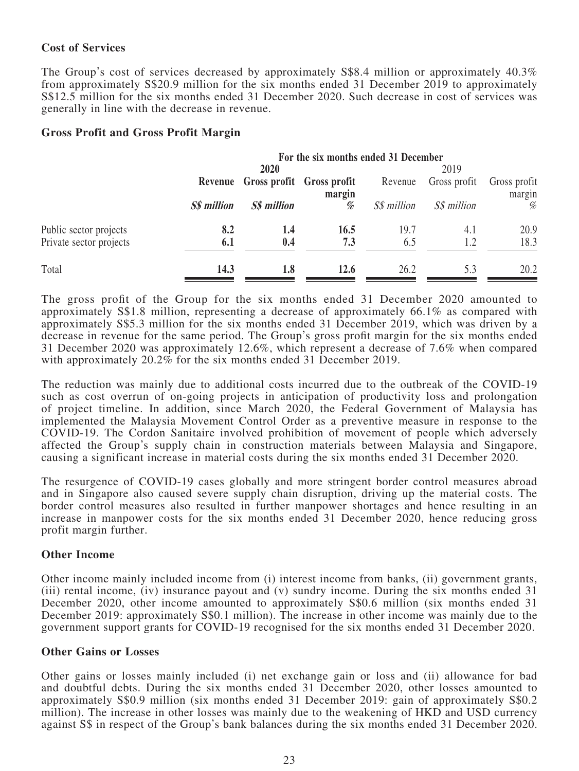### **Cost of Services**

The Group's cost of services decreased by approximately S\$8.4 million or approximately 40.3% from approximately S\$20.9 million for the six months ended 31 December 2019 to approximately S\$12.5 million for the six months ended 31 December 2020. Such decrease in cost of services was generally in line with the decrease in revenue.

### **Gross Profit and Gross Profit Margin**

|                         |                    | For the six months ended 31 December |                                             |             |              |                        |  |
|-------------------------|--------------------|--------------------------------------|---------------------------------------------|-------------|--------------|------------------------|--|
|                         |                    | 2020                                 |                                             |             | 2019         |                        |  |
|                         |                    |                                      | Revenue Gross profit Gross profit<br>margin | Revenue     | Gross profit | Gross profit<br>margin |  |
|                         | <b>S\$</b> million | <b>S\$</b> million                   | $% \frac{1}{2}$                             | S\$ million | S\$ million  | %                      |  |
| Public sector projects  | 8.2                | 1.4                                  | 16.5                                        | 19.7        | 4.1          | 20.9                   |  |
| Private sector projects | 6.1                | 0.4                                  | 7.3                                         | 6.5         | 1.2          | 18.3                   |  |
| Total                   | 14.3               | 1.8                                  | 12.6                                        | 26.2        | 5.3          | 20.2                   |  |

The gross profit of the Group for the six months ended 31 December 2020 amounted to approximately S\$1.8 million, representing a decrease of approximately 66.1% as compared with approximately S\$5.3 million for the six months ended 31 December 2019, which was driven by a decrease in revenue for the same period. The Group's gross profit margin for the six months ended 31 December 2020 was approximately 12.6%, which represent a decrease of 7.6% when compared with approximately 20.2% for the six months ended 31 December 2019.

The reduction was mainly due to additional costs incurred due to the outbreak of the COVID-19 such as cost overrun of on-going projects in anticipation of productivity loss and prolongation of project timeline. In addition, since March 2020, the Federal Government of Malaysia has implemented the Malaysia Movement Control Order as a preventive measure in response to the COVID-19. The Cordon Sanitaire involved prohibition of movement of people which adversely affected the Group's supply chain in construction materials between Malaysia and Singapore, causing a significant increase in material costs during the six months ended 31 December 2020.

The resurgence of COVID-19 cases globally and more stringent border control measures abroad and in Singapore also caused severe supply chain disruption, driving up the material costs. The border control measures also resulted in further manpower shortages and hence resulting in an increase in manpower costs for the six months ended 31 December 2020, hence reducing gross profit margin further.

### **Other Income**

Other income mainly included income from (i) interest income from banks, (ii) government grants, (iii) rental income, (iv) insurance payout and (v) sundry income. During the six months ended 31 December 2020, other income amounted to approximately S\$0.6 million (six months ended 31) December 2019: approximately S\$0.1 million). The increase in other income was mainly due to the government support grants for COVID-19 recognised for the six months ended 31 December 2020.

### **Other Gains or Losses**

Other gains or losses mainly included (i) net exchange gain or loss and (ii) allowance for bad and doubtful debts. During the six months ended 31 December 2020, other losses amounted to approximately S\$0.9 million (six months ended 31 December 2019: gain of approximately S\$0.2 million). The increase in other losses was mainly due to the weakening of HKD and USD currency against S\$ in respect of the Group's bank balances during the six months ended 31 December 2020.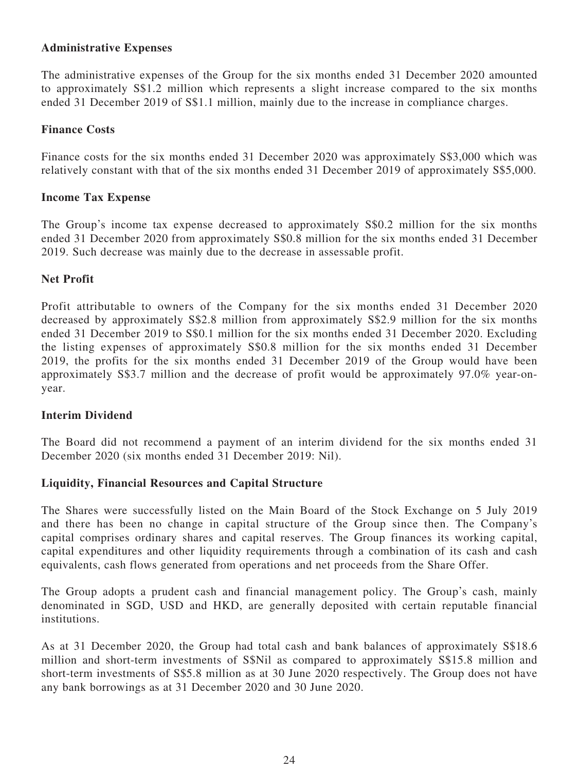### **Administrative Expenses**

The administrative expenses of the Group for the six months ended 31 December 2020 amounted to approximately S\$1.2 million which represents a slight increase compared to the six months ended 31 December 2019 of S\$1.1 million, mainly due to the increase in compliance charges.

### **Finance Costs**

Finance costs for the six months ended 31 December 2020 was approximately S\$3,000 which was relatively constant with that of the six months ended 31 December 2019 of approximately S\$5,000.

#### **Income Tax Expense**

The Group's income tax expense decreased to approximately S\$0.2 million for the six months ended 31 December 2020 from approximately S\$0.8 million for the six months ended 31 December 2019. Such decrease was mainly due to the decrease in assessable profit.

### **Net Profit**

Profit attributable to owners of the Company for the six months ended 31 December 2020 decreased by approximately S\$2.8 million from approximately S\$2.9 million for the six months ended 31 December 2019 to S\$0.1 million for the six months ended 31 December 2020. Excluding the listing expenses of approximately S\$0.8 million for the six months ended 31 December 2019, the profits for the six months ended 31 December 2019 of the Group would have been approximately S\$3.7 million and the decrease of profit would be approximately 97.0% year-onyear.

### **Interim Dividend**

The Board did not recommend a payment of an interim dividend for the six months ended 31 December 2020 (six months ended 31 December 2019: Nil).

### **Liquidity, Financial Resources and Capital Structure**

The Shares were successfully listed on the Main Board of the Stock Exchange on 5 July 2019 and there has been no change in capital structure of the Group since then. The Company's capital comprises ordinary shares and capital reserves. The Group finances its working capital, capital expenditures and other liquidity requirements through a combination of its cash and cash equivalents, cash flows generated from operations and net proceeds from the Share Offer.

The Group adopts a prudent cash and financial management policy. The Group's cash, mainly denominated in SGD, USD and HKD, are generally deposited with certain reputable financial institutions.

As at 31 December 2020, the Group had total cash and bank balances of approximately S\$18.6 million and short-term investments of S\$Nil as compared to approximately S\$15.8 million and short-term investments of S\$5.8 million as at 30 June 2020 respectively. The Group does not have any bank borrowings as at 31 December 2020 and 30 June 2020.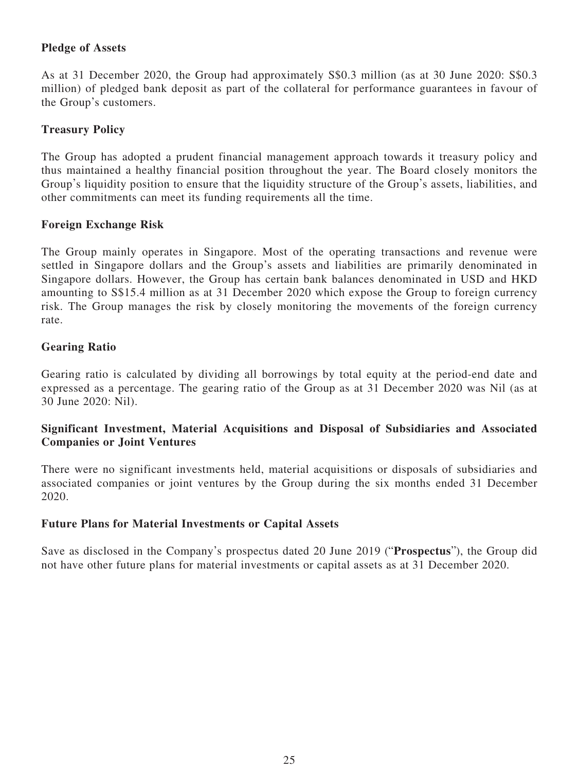### **Pledge of Assets**

As at 31 December 2020, the Group had approximately S\$0.3 million (as at 30 June 2020: S\$0.3 million) of pledged bank deposit as part of the collateral for performance guarantees in favour of the Group's customers.

### **Treasury Policy**

The Group has adopted a prudent financial management approach towards it treasury policy and thus maintained a healthy financial position throughout the year. The Board closely monitors the Group's liquidity position to ensure that the liquidity structure of the Group's assets, liabilities, and other commitments can meet its funding requirements all the time.

### **Foreign Exchange Risk**

The Group mainly operates in Singapore. Most of the operating transactions and revenue were settled in Singapore dollars and the Group's assets and liabilities are primarily denominated in Singapore dollars. However, the Group has certain bank balances denominated in USD and HKD amounting to S\$15.4 million as at 31 December 2020 which expose the Group to foreign currency risk. The Group manages the risk by closely monitoring the movements of the foreign currency rate.

### **Gearing Ratio**

Gearing ratio is calculated by dividing all borrowings by total equity at the period-end date and expressed as a percentage. The gearing ratio of the Group as at 31 December 2020 was Nil (as at 30 June 2020: Nil).

### **Significant Investment, Material Acquisitions and Disposal of Subsidiaries and Associated Companies or Joint Ventures**

There were no significant investments held, material acquisitions or disposals of subsidiaries and associated companies or joint ventures by the Group during the six months ended 31 December 2020.

### **Future Plans for Material Investments or Capital Assets**

Save as disclosed in the Company's prospectus dated 20 June 2019 ("**Prospectus**"), the Group did not have other future plans for material investments or capital assets as at 31 December 2020.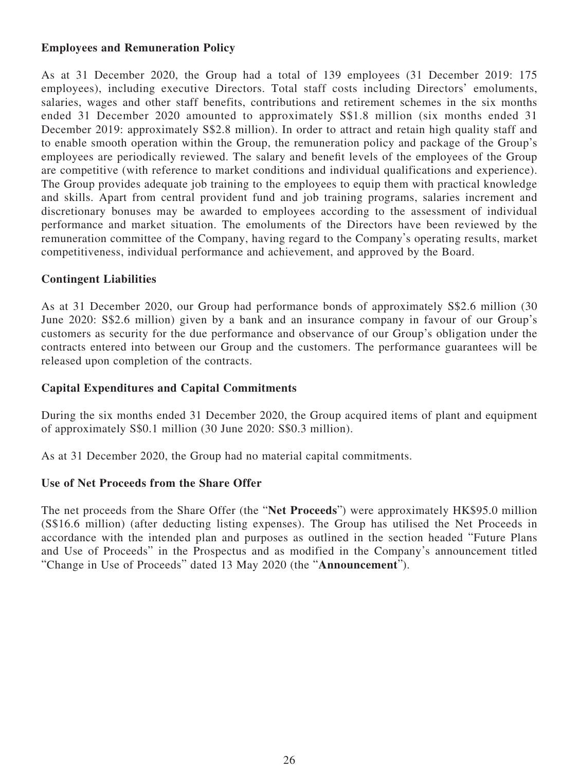### **Employees and Remuneration Policy**

As at 31 December 2020, the Group had a total of 139 employees (31 December 2019: 175 employees), including executive Directors. Total staff costs including Directors' emoluments, salaries, wages and other staff benefits, contributions and retirement schemes in the six months ended 31 December 2020 amounted to approximately S\$1.8 million (six months ended 31 December 2019: approximately S\$2.8 million). In order to attract and retain high quality staff and to enable smooth operation within the Group, the remuneration policy and package of the Group's employees are periodically reviewed. The salary and benefit levels of the employees of the Group are competitive (with reference to market conditions and individual qualifications and experience). The Group provides adequate job training to the employees to equip them with practical knowledge and skills. Apart from central provident fund and job training programs, salaries increment and discretionary bonuses may be awarded to employees according to the assessment of individual performance and market situation. The emoluments of the Directors have been reviewed by the remuneration committee of the Company, having regard to the Company's operating results, market competitiveness, individual performance and achievement, and approved by the Board.

### **Contingent Liabilities**

As at 31 December 2020, our Group had performance bonds of approximately S\$2.6 million (30 June 2020: S\$2.6 million) given by a bank and an insurance company in favour of our Group's customers as security for the due performance and observance of our Group's obligation under the contracts entered into between our Group and the customers. The performance guarantees will be released upon completion of the contracts.

### **Capital Expenditures and Capital Commitments**

During the six months ended 31 December 2020, the Group acquired items of plant and equipment of approximately S\$0.1 million (30 June 2020: S\$0.3 million).

As at 31 December 2020, the Group had no material capital commitments.

### **Use of Net Proceeds from the Share Offer**

The net proceeds from the Share Offer (the "**Net Proceeds**") were approximately HK\$95.0 million (S\$16.6 million) (after deducting listing expenses). The Group has utilised the Net Proceeds in accordance with the intended plan and purposes as outlined in the section headed "Future Plans and Use of Proceeds" in the Prospectus and as modified in the Company's announcement titled "Change in Use of Proceeds" dated 13 May 2020 (the "**Announcement**").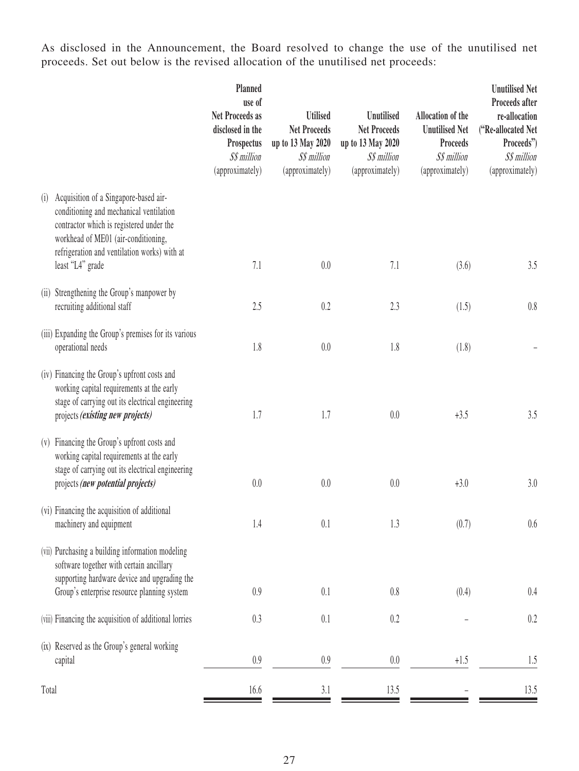As disclosed in the Announcement, the Board resolved to change the use of the unutilised net proceeds. Set out below is the revised allocation of the unutilised net proceeds:

|       |                                                                                                                                                                                                                                         | Planned<br>use of<br><b>Net Proceeds as</b><br>disclosed in the<br>Prospectus<br>S\$ million<br>(approximately) | <b>Utilised</b><br><b>Net Proceeds</b><br>up to 13 May 2020<br>S\$ million<br>(approximately) | Unutilised<br><b>Net Proceeds</b><br>up to 13 May 2020<br>S\$ million<br>(approximately) | <b>Allocation of the</b><br><b>Unutilised Net</b><br>Proceeds<br>S\$ million<br>(approximately) | <b>Unutilised Net</b><br>Proceeds after<br>re-allocation<br>("Re-allocated Net<br>Proceeds")<br>S\$ million<br>(approximately) |
|-------|-----------------------------------------------------------------------------------------------------------------------------------------------------------------------------------------------------------------------------------------|-----------------------------------------------------------------------------------------------------------------|-----------------------------------------------------------------------------------------------|------------------------------------------------------------------------------------------|-------------------------------------------------------------------------------------------------|--------------------------------------------------------------------------------------------------------------------------------|
| (i)   | Acquisition of a Singapore-based air-<br>conditioning and mechanical ventilation<br>contractor which is registered under the<br>workhead of ME01 (air-conditioning,<br>refrigeration and ventilation works) with at<br>least "L4" grade | 7.1                                                                                                             | $0.0\,$                                                                                       | 7.1                                                                                      | (3.6)                                                                                           | 3.5                                                                                                                            |
|       | (ii) Strengthening the Group's manpower by<br>recruiting additional staff                                                                                                                                                               | 2.5                                                                                                             | 0.2                                                                                           | 2.3                                                                                      | (1.5)                                                                                           | $0.8\,$                                                                                                                        |
|       | (iii) Expanding the Group's premises for its various<br>operational needs                                                                                                                                                               | 1.8                                                                                                             | 0.0                                                                                           | 1.8                                                                                      | (1.8)                                                                                           |                                                                                                                                |
|       | (iv) Financing the Group's upfront costs and<br>working capital requirements at the early<br>stage of carrying out its electrical engineering<br>projects (existing new projects)                                                       | 1.7                                                                                                             | 1.7                                                                                           | 0.0                                                                                      | $+3.5$                                                                                          | 3.5                                                                                                                            |
|       | (v) Financing the Group's upfront costs and<br>working capital requirements at the early<br>stage of carrying out its electrical engineering<br>projects (new potential projects)                                                       | 0.0                                                                                                             | $0.0\,$                                                                                       | 0.0                                                                                      | $+3.0$                                                                                          | 3.0                                                                                                                            |
|       | (vi) Financing the acquisition of additional<br>machinery and equipment                                                                                                                                                                 | 1.4                                                                                                             | 0.1                                                                                           | 1.3                                                                                      | (0.7)                                                                                           | 0.6                                                                                                                            |
|       | (vii) Purchasing a building information modeling<br>software together with certain ancillary<br>supporting hardware device and upgrading the<br>Group's enterprise resource planning system                                             | 0.9                                                                                                             | 0.1                                                                                           | 0.8                                                                                      | (0.4)                                                                                           | 0.4                                                                                                                            |
|       | (viii) Financing the acquisition of additional lorries                                                                                                                                                                                  | 0.3                                                                                                             | 0.1                                                                                           | 0.2                                                                                      |                                                                                                 | 0.2                                                                                                                            |
|       | (ix) Reserved as the Group's general working<br>capital                                                                                                                                                                                 | 0.9                                                                                                             | 0.9                                                                                           | 0.0                                                                                      | $+1.5$                                                                                          | 1.5                                                                                                                            |
| Total |                                                                                                                                                                                                                                         | 16.6                                                                                                            | 3.1                                                                                           | 13.5                                                                                     |                                                                                                 | 13.5                                                                                                                           |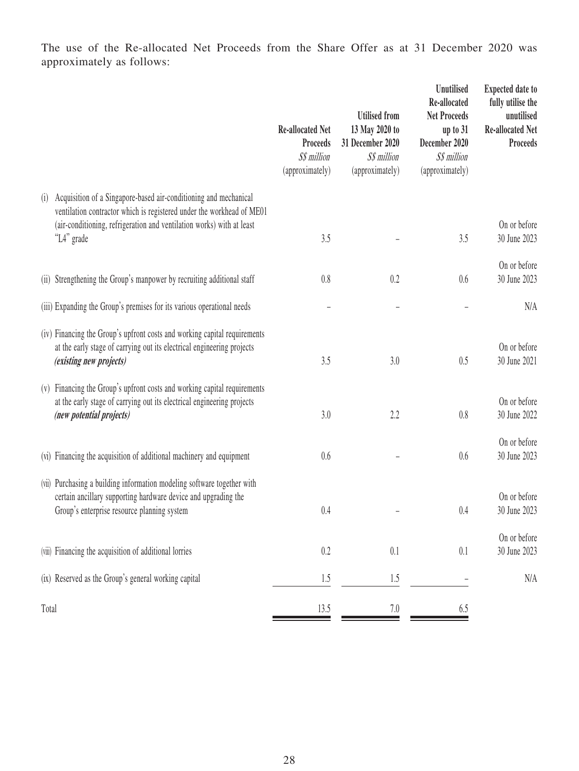The use of the Re-allocated Net Proceeds from the Share Offer as at 31 December 2020 was approximately as follows:

|       |                                                                                                                                                                                                                                  | <b>Re-allocated Net</b><br><b>Proceeds</b><br>S\$ million<br>(approximately) | <b>Utilised from</b><br>13 May 2020 to<br>31 December 2020<br>S\$ million<br>(approximately) | <b>Unutilised</b><br>Re-allocated<br><b>Net Proceeds</b><br>up to $31$<br>December 2020<br>S\$ million<br>(approximately) | <b>Expected date to</b><br>fully utilise the<br>unutilised<br><b>Re-allocated Net</b><br><b>Proceeds</b> |
|-------|----------------------------------------------------------------------------------------------------------------------------------------------------------------------------------------------------------------------------------|------------------------------------------------------------------------------|----------------------------------------------------------------------------------------------|---------------------------------------------------------------------------------------------------------------------------|----------------------------------------------------------------------------------------------------------|
| (i)   | Acquisition of a Singapore-based air-conditioning and mechanical<br>ventilation contractor which is registered under the workhead of ME01<br>(air-conditioning, refrigeration and ventilation works) with at least<br>"L4" grade | 3.5                                                                          |                                                                                              | 3.5                                                                                                                       | On or before<br>30 June 2023                                                                             |
|       |                                                                                                                                                                                                                                  |                                                                              |                                                                                              |                                                                                                                           |                                                                                                          |
|       | (ii) Strengthening the Group's manpower by recruiting additional staff                                                                                                                                                           | 0.8                                                                          | 0.2                                                                                          | 0.6                                                                                                                       | On or before<br>30 June 2023                                                                             |
|       | (iii) Expanding the Group's premises for its various operational needs                                                                                                                                                           |                                                                              |                                                                                              |                                                                                                                           | N/A                                                                                                      |
|       | (iv) Financing the Group's upfront costs and working capital requirements<br>at the early stage of carrying out its electrical engineering projects<br>(existing new projects)                                                   | 3.5                                                                          | 3.0                                                                                          | 0.5                                                                                                                       | On or before<br>30 June 2021                                                                             |
|       | (v) Financing the Group's upfront costs and working capital requirements<br>at the early stage of carrying out its electrical engineering projects<br>(new potential projects)                                                   | 3.0                                                                          | 2.2                                                                                          | 0.8                                                                                                                       | On or before<br>30 June 2022                                                                             |
|       | (vi) Financing the acquisition of additional machinery and equipment                                                                                                                                                             | 0.6                                                                          |                                                                                              | 0.6                                                                                                                       | On or before<br>30 June 2023                                                                             |
|       | (vii) Purchasing a building information modeling software together with<br>certain ancillary supporting hardware device and upgrading the<br>Group's enterprise resource planning system                                         | 0.4                                                                          |                                                                                              | 0.4                                                                                                                       | On or before<br>30 June 2023                                                                             |
|       | (viii) Financing the acquisition of additional lorries                                                                                                                                                                           | 0.2                                                                          | 0.1                                                                                          | 0.1                                                                                                                       | On or before<br>30 June 2023                                                                             |
|       | (ix) Reserved as the Group's general working capital                                                                                                                                                                             | 1.5                                                                          | 1.5                                                                                          |                                                                                                                           | N/A                                                                                                      |
| Total |                                                                                                                                                                                                                                  | 13.5                                                                         | 7.0                                                                                          | 6.5                                                                                                                       |                                                                                                          |
|       |                                                                                                                                                                                                                                  |                                                                              |                                                                                              |                                                                                                                           |                                                                                                          |